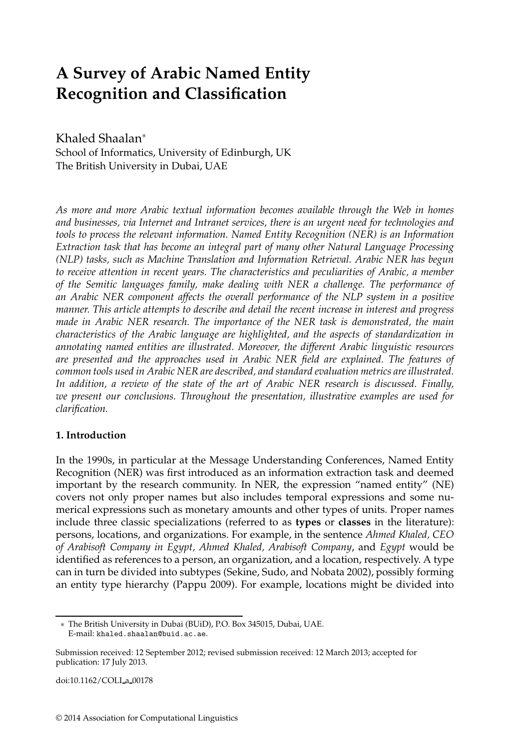# **A Survey of Arabic Named Entity Recognition and Classification**

# Khaled Shaalan<sup>∗</sup>

School of Informatics, University of Edinburgh, UK The British University in Dubai, UAE

*As more and more Arabic textual information becomes available through the Web in homes and businesses, via Internet and Intranet services, there is an urgent need for technologies and tools to process the relevant information. Named Entity Recognition (NER) is an Information Extraction task that has become an integral part of many other Natural Language Processing (NLP) tasks, such as Machine Translation and Information Retrieval. Arabic NER has begun to receive attention in recent years. The characteristics and peculiarities of Arabic, a member of the Semitic languages family, make dealing with NER a challenge. The performance of an Arabic NER component affects the overall performance of the NLP system in a positive manner. This article attempts to describe and detail the recent increase in interest and progress made in Arabic NER research. The importance of the NER task is demonstrated, the main characteristics of the Arabic language are highlighted, and the aspects of standardization in annotating named entities are illustrated. Moreover, the different Arabic linguistic resources are presented and the approaches used in Arabic NER field are explained. The features of common tools used in Arabic NER are described, and standard evaluation metrics are illustrated. In addition, a review of the state of the art of Arabic NER research is discussed. Finally, we present our conclusions. Throughout the presentation, illustrative examples are used for clarification.*

#### **1. Introduction**

In the 1990s, in particular at the Message Understanding Conferences, Named Entity Recognition (NER) was first introduced as an information extraction task and deemed important by the research community. In NER, the expression "named entity" (NE) covers not only proper names but also includes temporal expressions and some numerical expressions such as monetary amounts and other types of units. Proper names include three classic specializations (referred to as **types** or **classes** in the literature): persons, locations, and organizations. For example, in the sentence *Ahmed Khaled, CEO of Arabisoft Company in Egypt, Ahmed Khaled, Arabisoft Company*, and *Egypt* would be identified as references to a person, an organization, and a location, respectively. A type can in turn be divided into subtypes (Sekine, Sudo, and Nobata 2002), possibly forming an entity type hierarchy (Pappu 2009). For example, locations might be divided into

doi:10.1162/COLI a 00178

<sup>∗</sup> The British University in Dubai (BUiD), P.O. Box 345015, Dubai, UAE. E-mail: khaled.shaalan@buid.ac.ae.

Submission received: 12 September 2012; revised submission received: 12 March 2013; accepted for publication: 17 July 2013.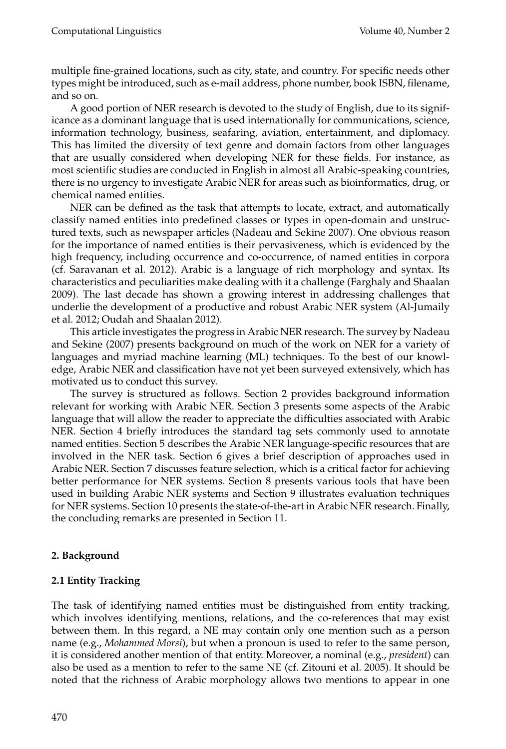multiple fine-grained locations, such as city, state, and country. For specific needs other types might be introduced, such as e-mail address, phone number, book ISBN, filename, and so on.

A good portion of NER research is devoted to the study of English, due to its significance as a dominant language that is used internationally for communications, science, information technology, business, seafaring, aviation, entertainment, and diplomacy. This has limited the diversity of text genre and domain factors from other languages that are usually considered when developing NER for these fields. For instance, as most scientific studies are conducted in English in almost all Arabic-speaking countries, there is no urgency to investigate Arabic NER for areas such as bioinformatics, drug, or chemical named entities.

NER can be defined as the task that attempts to locate, extract, and automatically classify named entities into predefined classes or types in open-domain and unstructured texts, such as newspaper articles (Nadeau and Sekine 2007). One obvious reason for the importance of named entities is their pervasiveness, which is evidenced by the high frequency, including occurrence and co-occurrence, of named entities in corpora (cf. Saravanan et al. 2012). Arabic is a language of rich morphology and syntax. Its characteristics and peculiarities make dealing with it a challenge (Farghaly and Shaalan 2009). The last decade has shown a growing interest in addressing challenges that underlie the development of a productive and robust Arabic NER system (Al-Jumaily et al. 2012; Oudah and Shaalan 2012).

This article investigates the progress in Arabic NER research. The survey by Nadeau and Sekine (2007) presents background on much of the work on NER for a variety of languages and myriad machine learning (ML) techniques. To the best of our knowledge, Arabic NER and classification have not yet been surveyed extensively, which has motivated us to conduct this survey.

The survey is structured as follows. Section 2 provides background information relevant for working with Arabic NER. Section 3 presents some aspects of the Arabic language that will allow the reader to appreciate the difficulties associated with Arabic NER. Section 4 briefly introduces the standard tag sets commonly used to annotate named entities. Section 5 describes the Arabic NER language-specific resources that are involved in the NER task. Section 6 gives a brief description of approaches used in Arabic NER. Section 7 discusses feature selection, which is a critical factor for achieving better performance for NER systems. Section 8 presents various tools that have been used in building Arabic NER systems and Section 9 illustrates evaluation techniques for NER systems. Section 10 presents the state-of-the-art in Arabic NER research. Finally, the concluding remarks are presented in Section 11.

#### **2. Background**

#### **2.1 Entity Tracking**

The task of identifying named entities must be distinguished from entity tracking, which involves identifying mentions, relations, and the co-references that may exist between them. In this regard, a NE may contain only one mention such as a person name (e.g., *Mohammed Morsi*), but when a pronoun is used to refer to the same person, it is considered another mention of that entity. Moreover, a nominal (e.g., *president*) can also be used as a mention to refer to the same NE (cf. Zitouni et al. 2005). It should be noted that the richness of Arabic morphology allows two mentions to appear in one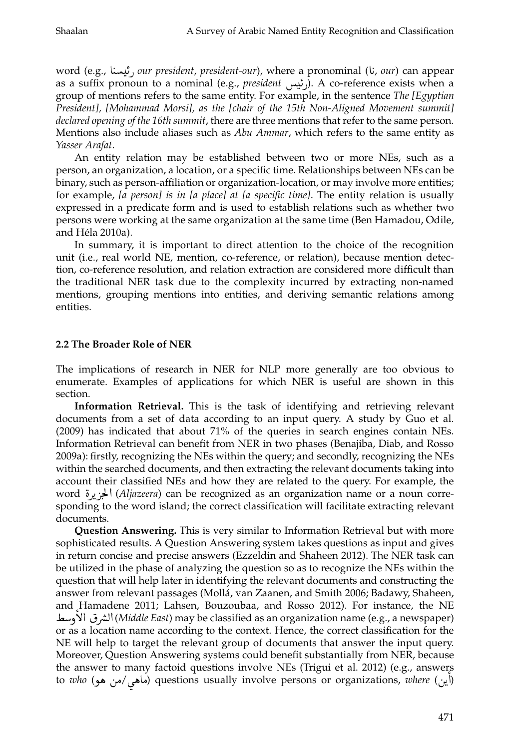word (e.g., منابعة *our president, president-our*), where a pronominal (نيمه) can appear<br>A so reference oxists when a : as a suffix pronoun to a nominal (e.g., *president* آرٹیس). A co-reference exists when a<br>group of montions refers to the same entity. For example, in the septence *The [Equation* رُ ; ֪֪֪֪֦֪֦֪֦֪֪֦֧֛֪֪֦֧֦֧֦֧֦֚֝֝֝֝֝֝֜֜֜֟֓֟֓֟֓֟֓֟ group of mentions refers to the same entity. For example, in the sentence *The [Egyptian President], [Mohammad Morsi], as the [chair of the 15th Non-Aligned Movement summit] declared opening of the 16th summit*, there are three mentions that refer to the same person. Mentions also include aliases such as *Abu Ammar*, which refers to the same entity as *Yasser Arafat*.

An entity relation may be established between two or more NEs, such as a person, an organization, a location, or a specific time. Relationships between NEs can be binary, such as person-affiliation or organization-location, or may involve more entities; for example, *[a person] is in [a place] at [a specific time]*. The entity relation is usually expressed in a predicate form and is used to establish relations such as whether two persons were working at the same organization at the same time (Ben Hamadou, Odile, and Héla 2010a).

In summary, it is important to direct attention to the choice of the recognition unit (i.e., real world NE, mention, co-reference, or relation), because mention detection, co-reference resolution, and relation extraction are considered more difficult than the traditional NER task due to the complexity incurred by extracting non-named mentions, grouping mentions into entities, and deriving semantic relations among entities.

# **2.2 The Broader Role of NER**

The implications of research in NER for NLP more generally are too obvious to enumerate. Examples of applications for which NER is useful are shown in this section.

**Information Retrieval.** This is the task of identifying and retrieving relevant documents from a set of data according to an input query. A study by Guo et al. (2009) has indicated that about 71% of the queries in search engines contain NEs. Information Retrieval can benefit from NER in two phases (Benajiba, Diab, and Rosso 2009a): firstly, recognizing the NEs within the query; and secondly, recognizing the NEs within the searched documents, and then extracting the relevant documents taking into account their classified NEs and how they are related to the query. For example, the word أخريرة *(Aljazeera*) can be recognized as an organization name or a noun corre-<br>coordinate the word island: the correct election will feelitate extraction relevant sponding to the word island; the correct classification will facilitate extracting relevant documents.

**Question Answering.** This is very similar to Information Retrieval but with more sophisticated results. A Question Answering system takes questions as input and gives in return concise and precise answers (Ezzeldin and Shaheen 2012). The NER task can be utilized in the phase of analyzing the question so as to recognize the NEs within the question that will help later in identifying the relevant documents and constructing the answer from relevant passages (Mollá, van Zaanen, and Smith 2006; Badawy, Shaheen, and Hamadene 2011; Lahsen, Bouzoubaa, and Rosso 2012). For instance, the NE ¡ð B@ Qå Ë@ (*Middle East*) may be classified as an organization name (e.g., a newspaper) ξ or as a location name according to the context. Hence, the correct classification for the NE will help to target the relevant group of documents that answer the input query. Moreover, Question Answering systems could benefit substantially from NER, because the answer to many factoid questions involve NEs (Trigui et al. 2012) (e.g., answers to *who* (مَاهي/من هو) questions usually involve persons or organizations, *where* (مَاهي/من هو) <u>ي</u><br>:  $\ddot{\phantom{0}}$ ֧֧֦֧֦֧֪֦֧֦֧֦֧֦֧֦֧֦֧֧֦֧֧֧֧֧֧֧֧֧֧֧֧֧֧֧֧֧֧֧֧֧֡֝֟֝֟֝֟֝֟֝֝֝֝֬֝֬֟֓֟֓֝֬֓֝֓֝֓֓֝֓֝֬֓֓֓֓֓<br>׀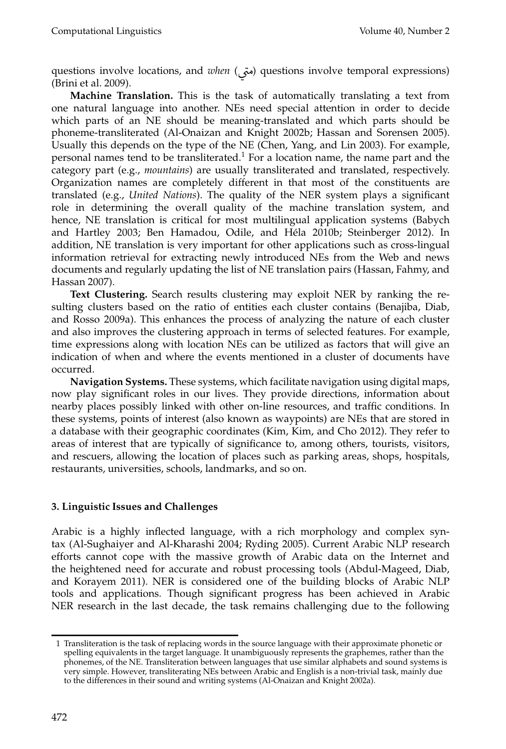questions involve locations, and *when* (مقي) questions involve temporal expressions)<br>(Right to the 2000)  $\ddot{=}$ .<br>? (Brini et al. 2009).

**Machine Translation.** This is the task of automatically translating a text from one natural language into another. NEs need special attention in order to decide which parts of an NE should be meaning-translated and which parts should be phoneme-transliterated (Al-Onaizan and Knight 2002b; Hassan and Sorensen 2005). Usually this depends on the type of the NE (Chen, Yang, and Lin 2003). For example, personal names tend to be transliterated.<sup>1</sup> For a location name, the name part and the category part (e.g., *mountains*) are usually transliterated and translated, respectively. Organization names are completely different in that most of the constituents are translated (e.g., *United Nations*). The quality of the NER system plays a significant role in determining the overall quality of the machine translation system, and hence, NE translation is critical for most multilingual application systems (Babych and Hartley 2003; Ben Hamadou, Odile, and Héla 2010b; Steinberger 2012). In addition, NE translation is very important for other applications such as cross-lingual information retrieval for extracting newly introduced NEs from the Web and news documents and regularly updating the list of NE translation pairs (Hassan, Fahmy, and Hassan 2007).

**Text Clustering.** Search results clustering may exploit NER by ranking the resulting clusters based on the ratio of entities each cluster contains (Benajiba, Diab, and Rosso 2009a). This enhances the process of analyzing the nature of each cluster and also improves the clustering approach in terms of selected features. For example, time expressions along with location NEs can be utilized as factors that will give an indication of when and where the events mentioned in a cluster of documents have occurred.

**Navigation Systems.** These systems, which facilitate navigation using digital maps, now play significant roles in our lives. They provide directions, information about nearby places possibly linked with other on-line resources, and traffic conditions. In these systems, points of interest (also known as waypoints) are NEs that are stored in a database with their geographic coordinates (Kim, Kim, and Cho 2012). They refer to areas of interest that are typically of significance to, among others, tourists, visitors, and rescuers, allowing the location of places such as parking areas, shops, hospitals, restaurants, universities, schools, landmarks, and so on.

#### **3. Linguistic Issues and Challenges**

Arabic is a highly inflected language, with a rich morphology and complex syntax (Al-Sughaiyer and Al-Kharashi 2004; Ryding 2005). Current Arabic NLP research efforts cannot cope with the massive growth of Arabic data on the Internet and the heightened need for accurate and robust processing tools (Abdul-Mageed, Diab, and Korayem 2011). NER is considered one of the building blocks of Arabic NLP tools and applications. Though significant progress has been achieved in Arabic NER research in the last decade, the task remains challenging due to the following

<sup>1</sup> Transliteration is the task of replacing words in the source language with their approximate phonetic or spelling equivalents in the target language. It unambiguously represents the graphemes, rather than the phonemes, of the NE. Transliteration between languages that use similar alphabets and sound systems is very simple. However, transliterating NEs between Arabic and English is a non-trivial task, mainly due to the differences in their sound and writing systems (Al-Onaizan and Knight 2002a).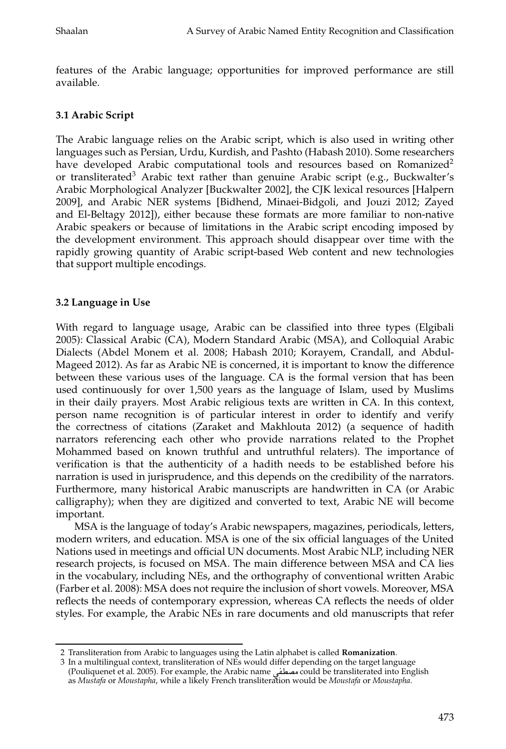features of the Arabic language; opportunities for improved performance are still available.

# **3.1 Arabic Script**

The Arabic language relies on the Arabic script, which is also used in writing other languages such as Persian, Urdu, Kurdish, and Pashto (Habash 2010). Some researchers have developed Arabic computational tools and resources based on Romanized<sup>2</sup> or transliterated<sup>3</sup> Arabic text rather than genuine Arabic script (e.g., Buckwalter's Arabic Morphological Analyzer [Buckwalter 2002], the CJK lexical resources [Halpern 2009], and Arabic NER systems [Bidhend, Minaei-Bidgoli, and Jouzi 2012; Zayed and El-Beltagy 2012]), either because these formats are more familiar to non-native Arabic speakers or because of limitations in the Arabic script encoding imposed by the development environment. This approach should disappear over time with the rapidly growing quantity of Arabic script-based Web content and new technologies that support multiple encodings.

# **3.2 Language in Use**

With regard to language usage, Arabic can be classified into three types (Elgibali 2005): Classical Arabic (CA), Modern Standard Arabic (MSA), and Colloquial Arabic Dialects (Abdel Monem et al. 2008; Habash 2010; Korayem, Crandall, and Abdul-Mageed 2012). As far as Arabic NE is concerned, it is important to know the difference between these various uses of the language. CA is the formal version that has been used continuously for over 1,500 years as the language of Islam, used by Muslims in their daily prayers. Most Arabic religious texts are written in CA. In this context, person name recognition is of particular interest in order to identify and verify the correctness of citations (Zaraket and Makhlouta 2012) (a sequence of hadith narrators referencing each other who provide narrations related to the Prophet Mohammed based on known truthful and untruthful relaters). The importance of verification is that the authenticity of a hadith needs to be established before his narration is used in jurisprudence, and this depends on the credibility of the narrators. Furthermore, many historical Arabic manuscripts are handwritten in CA (or Arabic calligraphy); when they are digitized and converted to text, Arabic NE will become important.

MSA is the language of today's Arabic newspapers, magazines, periodicals, letters, modern writers, and education. MSA is one of the six official languages of the United Nations used in meetings and official UN documents. Most Arabic NLP, including NER research projects, is focused on MSA. The main difference between MSA and CA lies in the vocabulary, including NEs, and the orthography of conventional written Arabic (Farber et al. 2008): MSA does not require the inclusion of short vowels. Moreover, MSA reflects the needs of contemporary expression, whereas CA reflects the needs of older styles. For example, the Arabic NEs in rare documents and old manuscripts that refer

<sup>2</sup> Transliteration from Arabic to languages using the Latin alphabet is called **Romanization**.

<sup>3</sup> In a multilingual context, transliteration of NEs would differ depending on the target language (Pouliquenet et al. 2005). For example, the Arabic name ù ®¢Ó could be transliterated into English as *Mustafa* or *Moustapha*, while a likely French transliteration would be *Moustafa* or *Moustapha*. i .<br>.<br>.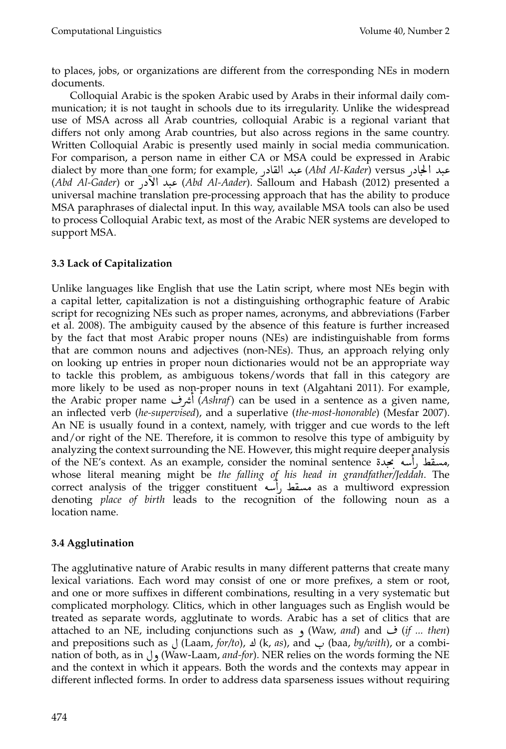to places, jobs, or organizations are different from the corresponding NEs in modern documents.

Colloquial Arabic is the spoken Arabic used by Arabs in their informal daily communication; it is not taught in schools due to its irregularity. Unlike the widespread use of MSA across all Arab countries, colloquial Arabic is a regional variant that differs not only among Arab countries, but also across regions in the same country. Written Colloquial Arabic is presently used mainly in social media communication. For comparison, a person name in either CA or MSA could be expressed in Arabic dialect by more than one form; for example, عبد القادر *(Abd Al-Kader*) versus<br>عبد الجادر *(Abd Al-Kader*) versus عبد العادر *(Abd Al-Kader*) versus) (*Abd Al-Gader*) or PX  $\ddot{\phantom{0}}$ عبد الا (*Abd Al-Aader*). Salloum and Habash (2012) presented a<br>anglation pro-processing approach that has the ability to produce universal machine translation pre-processing approach that has the ability to produce MSA paraphrases of dialectal input. In this way, available MSA tools can also be used to process Colloquial Arabic text, as most of the Arabic NER systems are developed to support MSA.

# **3.3 Lack of Capitalization**

Unlike languages like English that use the Latin script, where most NEs begin with a capital letter, capitalization is not a distinguishing orthographic feature of Arabic script for recognizing NEs such as proper names, acronyms, and abbreviations (Farber et al. 2008). The ambiguity caused by the absence of this feature is further increased by the fact that most Arabic proper nouns (NEs) are indistinguishable from forms that are common nouns and adjectives (non-NEs). Thus, an approach relying only on looking up entries in proper noun dictionaries would not be an appropriate way to tackle this problem, as ambiguous tokens/words that fall in this category are more likely to be used as non-proper nouns in text (Algahtani 2011). For example, the Arabic proper name  $\hat{A}$   $(Ashraf)$  can be used in a sentence as a given name,  $\ddot{ }$ I<br>I an inflected verb (*he-supervised*), and a superlative (*the-most-honorable*) (Mesfar 2007). An NE is usually found in a context, namely, with trigger and cue words to the left and/or right of the NE. Therefore, it is common to resolve this type of ambiguity by analyzing the context surrounding the NE. However, this might require deeper analysis of the NE's context. As an example, consider the nominal sentence والمستدعم بمقطع رأسه مجدة of the NE's context. .<br>ة . . أ whose literal meaning might be *the falling of his head in grandfather/Jeddah*. The correct analysis of the trigger constituent *فراً به السلم العدم ال*مر المستقبل و المرض as a multiword expression Į denoting *place of birth* leads to the recognition of the following noun as a location name.

# **3.4 Agglutination**

The agglutinative nature of Arabic results in many different patterns that create many lexical variations. Each word may consist of one or more prefixes, a stem or root, and one or more suffixes in different combinations, resulting in a very systematic but complicated morphology. Clitics, which in other languages such as English would be treated as separate words, agglutinate to words. Arabic has a set of clitics that are attached to an NE, including conjunctions such as  $\bullet$  (Waw, and) and  $\bullet$  (*if ... then*) and prepositions such as È (Laam, *for/to*), ¼ (k, *as*), and H. (baa, *by/with*), or a combination of both, as in Èð (Waw-Laam, *and-for*). NER relies on the words forming the NE and the context in which it appears. Both the words and the contexts may appear in different inflected forms. In order to address data sparseness issues without requiring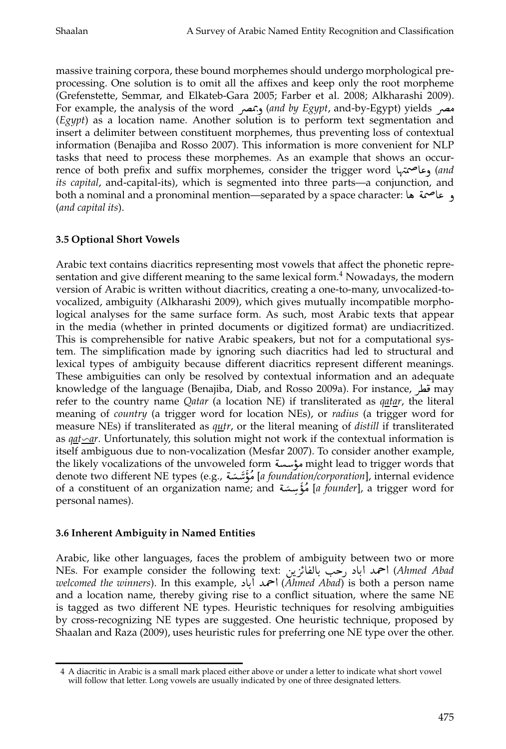massive training corpora, these bound morphemes should undergo morphological preprocessing. One solution is to omit all the affixes and keep only the root morpheme (Grefenstette, Semmar, and Elkateb-Gara 2005; Farber et al. 2008; Alkharashi 2009). For example, the analysis of the word وبمصر *and by Egypt*, and-by-Egypt) yields (*a*nd by Egypt) For (*Egypt*) as a location name. Another solution is to perform text segmentation and insert a delimiter between constituent morphemes, thus preventing loss of contextual information (Benajiba and Rosso 2007). This information is more convenient for NLP tasks that need to process these morphemes. As an example that shows an occurrence of both prefix and suffix morphemes, consider the trigger word **a**<sup>d</sup> (*and*<br>and and *a* double rence of both prefix and suffix morphemes, consider the trigger word **(** *its capital*, and-capital-its), which is segmented into three parts—a conjunction, and e capital capital ras), which is eigenemica into three parts to eorganization, and the amplitude of the averag<br>و عاصمة ها (*and capital its*).

# **3.5 Optional Short Vowels**

Arabic text contains diacritics representing most vowels that affect the phonetic representation and give different meaning to the same lexical form.<sup>4</sup> Nowadays, the modern version of Arabic is written without diacritics, creating a one-to-many, unvocalized-tovocalized, ambiguity (Alkharashi 2009), which gives mutually incompatible morphological analyses for the same surface form. As such, most Arabic texts that appear in the media (whether in printed documents or digitized format) are undiacritized. This is comprehensible for native Arabic speakers, but not for a computational system. The simplification made by ignoring such diacritics had led to structural and lexical types of ambiguity because different diacritics represent different meanings. These ambiguities can only be resolved by contextual information and an adequate knowledge of the language (Benajiba, Diab, and Rosso 2009a). For instance, نو howledge of the language (Benajiba, Diab, and Rosso 2009a). For instance, نو استفادته refer to the country name *Qatar* (a location NE) if transliterated as *qatar*, the literal meaning of *country* (a trigger word for location NEs), or *radius* (a trigger word for measure NEs) if transliterated as *qutr*, or the literal meaning of *distill* if transliterated as *qat*∽*ar*. Unfortunately, this solution might not work if the contextual information is itself ambiguous due to non-vocalization (Mesfar 2007). To consider another example, the likely vocalizations of the unvoweled form مؤسسة might lead to trigger words that denote two different NE types (e.g., é ñ Ó [*a foundation/corporation*], internal evidence  $\frac{1}{2}$ č ś ֦֧֦֧֦֧ of a constituent of an organization name; and مَؤْسِسَة a founder], a trigger word for<br>مُؤَسِسَة a founder], a trigger word for ا<br>ءم ノメ personal names).

#### **3.6 Inherent Ambiguity in Named Entities**

Arabic, like other languages, faces the problem of ambiguity between two or more NEs. For example consider the following text: احمد آباد رحب بالفائزين<br>Mes. For example consider the following text: احمد آباد رحب بالفائزين)<br>(*Ahmed Abad*) is both a porson pamor ( <u>د</u><br>تا welcomed the winners). In this example, حمد آباد (*Ahmed Abad*) is both a person name .<br>و . and a location name, thereby giving rise to a conflict situation, where the same NE is tagged as two different NE types. Heuristic techniques for resolving ambiguities by cross-recognizing NE types are suggested. One heuristic technique, proposed by Shaalan and Raza (2009), uses heuristic rules for preferring one NE type over the other.

<sup>4</sup> A diacritic in Arabic is a small mark placed either above or under a letter to indicate what short vowel will follow that letter. Long vowels are usually indicated by one of three designated letters.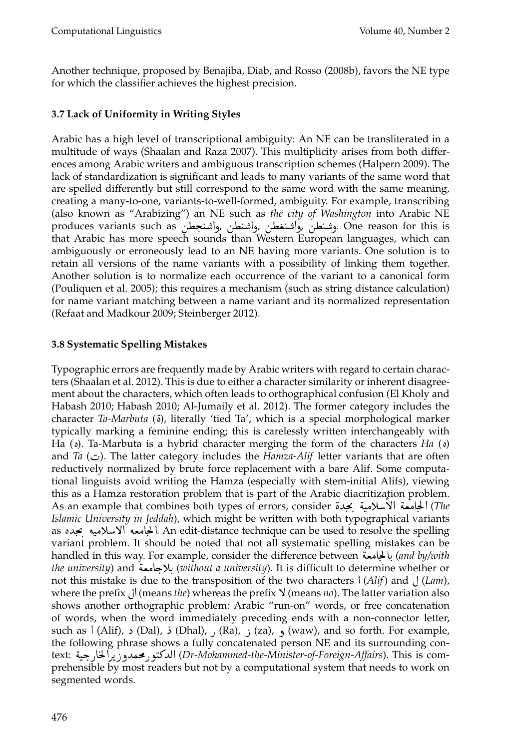Another technique, proposed by Benajiba, Diab, and Rosso (2008b), favors the NE type for which the classifier achieves the highest precision.

# **3.7 Lack of Uniformity in Writing Styles**

Arabic has a high level of transcriptional ambiguity: An NE can be transliterated in a multitude of ways (Shaalan and Raza 2007). This multiplicity arises from both differences among Arabic writers and ambiguous transcription schemes (Halpern 2009). The lack of standardization is significant and leads to many variants of the same word that are spelled differently but still correspond to the same word with the same meaning, creating a many-to-one, variants-to-well-formed, ambiguity. For example, transcribing (also known as "Arabizing") an NE such as *the city of Washington* into Arabic NE produces variants such as وشنطنُ بِواشنطنِ بِواشنطنِ ، واشنجعلُ و one reason for this is . :  $\ddot{\phantom{0}}$ ;<br>;  $\ddot{\cdot}$ ; :  $\ddot{\phantom{0}}$ :  $\ddot{\phantom{0}}$ that Arabic has more speech sounds than Western European languages, which can ambiguously or erroneously lead to an NE having more variants. One solution is to retain all versions of the name variants with a possibility of linking them together. Another solution is to normalize each occurrence of the variant to a canonical form (Pouliquen et al. 2005); this requires a mechanism (such as string distance calculation) for name variant matching between a name variant and its normalized representation (Refaat and Madkour 2009; Steinberger 2012).

# **3.8 Systematic Spelling Mistakes**

Typographic errors are frequently made by Arabic writers with regard to certain characters (Shaalan et al. 2012). This is due to either a character similarity or inherent disagreement about the characters, which often leads to orthographical confusion (El Kholy and Habash 2010; Habash 2010; Al-Jumaily et al. 2012). The former category includes the character *Ta-Marbuta* ( è), literally 'tied Ta', which is a special morphological marker -<br>Ö typically marking a feminine ending; this is carelessly written interchangeably with Ha ( $\circ$ ). Ta-Marbuta is a hybrid character merging the form of the characters *Ha* ( $\circ$ ) and *Ta* (ت). The latter category includes the *Hamza-Alif* letter variants that are often reductively normalized by brute force replacement with a bare Alif. Some computational linguists avoid writing the Hamza (especially with stem-initial Alifs), viewing this as a Hamza restoration problem that is part of the Arabic diacritization problem. has as a riamiza restoration problem that is part of the ritable diaerhization problem.<br>المجامعة الأسلامية مجدة *(The* . .<br>, -<br>Ä  $\ddot{\cdot}$ ן<br>י . *Islamic University in Jeddah*), which might be written with both typographical variants as أَلْجَامُعُهُ ٱلاسلامِيَّةِ مُجِدَّدة an edit-distance technique can be used to resolve the spelling . .<br>.  $\ddot{\cdot}$ . variant problem. It should be noted that not all systematic spelling mistakes can be handled in this way. For example, consider the difference between **in** the unit of this way. For example, consider the difference between بالحباح**ية** (*and by/with* . . the university) and بالأجامعة (*without a university*). It is difficult to determine whether or<br>not this mistake is due to the transposition of the two characters (*(Alif*) and *L(Law*) . not this mistake is due to the transposition of the two characters  $\frac{\partial (A_{ij})}{\partial (Lam)}$ , where the prefix  $\iint$  (means *the*) whereas the prefix  $\lambda$  (means *no*). The latter variation also shows another orthographic problem: Arabic "run-on" words, or free concatenation of words, when the word immediately preceding ends with a non-connector letter, such as  $\lceil (Alif) \rceil$  (Dal),  $\lceil (Dhal) \rceil$  (Ra),  $\lceil (Za) \rceil$  (waw), and so forth. For example, the following phrase shows a fully concatenated person NE and its surrounding context: الدكتورمحمدوزيرالخارجية (*Dr-Mohammed-the-Minister-of-Foreign-Affairs*). This is com-<br>text: الدكتورمحمدوزيرالخارجية (*Dr-Mohammed-the-Minister-of-Foreign-Affairs*). This is com- $\ddot{\cdot}$ m  $\ddot{\ddot{\ }}$ prehensible by most readers but not by a computational system that needs to work on segmented words.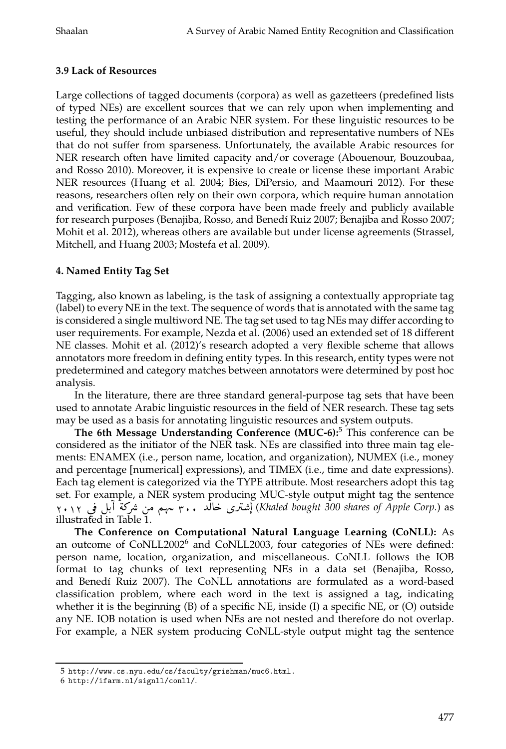# **3.9 Lack of Resources**

Large collections of tagged documents (corpora) as well as gazetteers (predefined lists of typed NEs) are excellent sources that we can rely upon when implementing and testing the performance of an Arabic NER system. For these linguistic resources to be useful, they should include unbiased distribution and representative numbers of NEs that do not suffer from sparseness. Unfortunately, the available Arabic resources for NER research often have limited capacity and/or coverage (Abouenour, Bouzoubaa, and Rosso 2010). Moreover, it is expensive to create or license these important Arabic NER resources (Huang et al. 2004; Bies, DiPersio, and Maamouri 2012). For these reasons, researchers often rely on their own corpora, which require human annotation and verification. Few of these corpora have been made freely and publicly available for research purposes (Benajiba, Rosso, and Bened´ı Ruiz 2007; Benajiba and Rosso 2007; Mohit et al. 2012), whereas others are available but under license agreements (Strassel, Mitchell, and Huang 2003; Mostefa et al. 2009).

# **4. Named Entity Tag Set**

Tagging, also known as labeling, is the task of assigning a contextually appropriate tag (label) to every NE in the text. The sequence of words that is annotated with the same tag is considered a single multiword NE. The tag set used to tag NEs may differ according to user requirements. For example, Nezda et al. (2006) used an extended set of 18 different NE classes. Mohit et al. (2012)'s research adopted a very flexible scheme that allows annotators more freedom in defining entity types. In this research, entity types were not predetermined and category matches between annotators were determined by post hoc analysis.

In the literature, there are three standard general-purpose tag sets that have been used to annotate Arabic linguistic resources in the field of NER research. These tag sets may be used as a basis for annotating linguistic resources and system outputs.

**The 6th Message Understanding Conference (MUC-6):**<sup>5</sup> This conference can be considered as the initiator of the NER task. NEs are classified into three main tag elements: ENAMEX (i.e., person name, location, and organization), NUMEX (i.e., money and percentage [numerical] expressions), and TIMEX (i.e., time and date expressions). Each tag element is categorized via the TYPE attribute. Most researchers adopt this tag set. For example, a NER system producing MUC-style output might tag the sentence بل في ۱۲.۲<br>illustratod in ۔<br>آ illustrated in Table 1. mpie, a NEK system producing MUC-style output might tag the sentence<br>(*Khaled bought 300 shares of Apple Corp.*) as پشتری خالد ۳۰۰ سهم من شرکة آ @ ۲<br>آ  $\frac{1}{\sqrt{2}}$ Ï ا<br>ع

**The Conference on Computational Natural Language Learning (CoNLL):** As an outcome of  $CoNL2002^6$  and  $CoNL2003$ , four categories of NEs were defined: person name, location, organization, and miscellaneous. CoNLL follows the IOB format to tag chunks of text representing NEs in a data set (Benajiba, Rosso, and Benedí Ruiz 2007). The CoNLL annotations are formulated as a word-based classification problem, where each word in the text is assigned a tag, indicating whether it is the beginning  $(B)$  of a specific NE, inside  $(I)$  a specific NE, or  $(O)$  outside any NE. IOB notation is used when NEs are not nested and therefore do not overlap. For example, a NER system producing CoNLL-style output might tag the sentence

<sup>5</sup> http://www.cs.nyu.edu/cs/faculty/grishman/muc6.html.

<sup>6</sup> http://ifarm.nl/signll/conll/.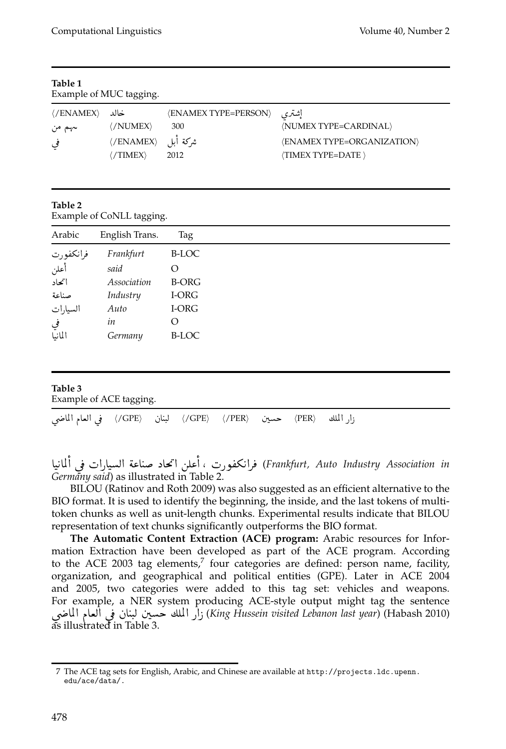| Table 1                 |  |
|-------------------------|--|
| Example of MUC tagging. |  |

| خالد (ENAMEX/<br>سہم من | $\langle /NUMEX \rangle$   | شتری     {ENAMEX TYPE=PERSON}<br>300 | <b>\NUMEX TYPE=CARDINAL\</b>                                         |
|-------------------------|----------------------------|--------------------------------------|----------------------------------------------------------------------|
| ٿي                      | $\langle$ /TIMEX $\rangle$ | 2012                                 | <b><i><u>{ENAMEX TYPE=ORGANIZATION}</u></i></b><br>(TIMEX TYPE=DATE) |

| Table 2 |                           |  |
|---------|---------------------------|--|
|         | Example of CoNLL tagging. |  |

| Arabic    | English Trans. | Tag          |
|-----------|----------------|--------------|
| فرانكفورت | Frankfurt      | <b>B-LOC</b> |
| أعلن      | said           | O            |
| اتحاد     | Association    | <b>B-ORG</b> |
| صناعة     | Industry       | I-ORG        |
| السيارات  | Auto           | I-ORG        |
| في        | in             | O            |
| المانيا   | Germany        | <b>B-LOC</b> |
|           |                |              |

# **Table 3**

Example of ACE tagging.

ي العام الماضي í :  $\ddot{=}$ ֦֧֢֦֧֦֧֦֧ׅ֦֧ׅ֦֧ׅ֦֧ׅ֦֧ׅ֦֧ׅ֚֚֚֬֜֓֓֡֜֓֡֜֓֡֬֜֓֬֜֓֬֜֓֬  $\langle$ /GPE $\rangle$ ֦֢֦֧֦֧֦֧֦֧֦֧֚֚֚֡ بنان . خسين (GPE) </ref> ⁄(PER 1  $\ddot{\phantom{1}}$  $\langle$ PER $\rangle$  زار الملك

Frankfurt, Auto Industry Association in) فرانكفورت ، أعلن اتحاد صناعة السيارات في ألمانيا  $\ddot{ }$ ; أ  $\overline{i}$  *Germany said*) as illustrated in Table 2. į  $\frac{1}{r}$ ŗ أ : :

BILOU (Ratinov and Roth 2009) was also suggested as an efficient alternative to the BIO format. It is used to identify the beginning, the inside, and the last tokens of multitoken chunks as well as unit-length chunks. Experimental results indicate that BILOU representation of text chunks significantly outperforms the BIO format.

**The Automatic Content Extraction (ACE) program:** Arabic resources for Information Extraction have been developed as part of the ACE program. According to the ACE 2003 tag elements, $^7$  four categories are defined: person name, facility, organization, and geographical and political entities (GPE). Later in ACE 2004 and 2005, two categories were added to this tag set: vehicles and weapons. For example, a NER system producing ACE-style output might tag the sentence emp in anger ing into eencere والمستخدمة المستخدمة بن المستخدمة المستخدمة المستخدمة المستخدمة المستخدمة المستخ<br>(Habash 2010) (King Hussein visited Lebanon last year) إذا للملك حسين لبنان في العام الماضي Ō as illustrated in Table 3. : Ī : ֖֖֖֪֪֖֚֚֚֚֚֚֚֚֚֚֚֡֬֝֝֝֝<br>֧֪֪֪֪֪֪֝֝**֖** .<br>.<br>.  $\ddot{\cdot}$  $\ddot{\phantom{0}}$ 

<sup>7</sup> The ACE tag sets for English, Arabic, and Chinese are available at http://projects.ldc.upenn. edu/ace/data/.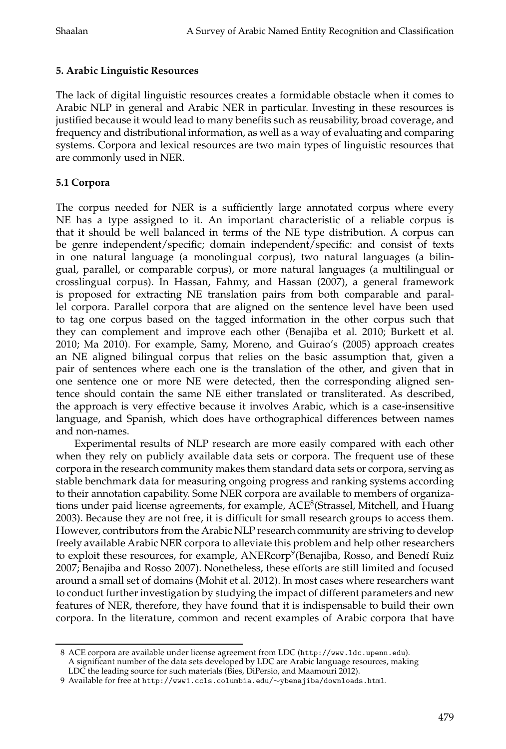# **5. Arabic Linguistic Resources**

The lack of digital linguistic resources creates a formidable obstacle when it comes to Arabic NLP in general and Arabic NER in particular. Investing in these resources is justified because it would lead to many benefits such as reusability, broad coverage, and frequency and distributional information, as well as a way of evaluating and comparing systems. Corpora and lexical resources are two main types of linguistic resources that are commonly used in NER.

# **5.1 Corpora**

The corpus needed for NER is a sufficiently large annotated corpus where every NE has a type assigned to it. An important characteristic of a reliable corpus is that it should be well balanced in terms of the NE type distribution. A corpus can be genre independent/specific; domain independent/specific: and consist of texts in one natural language (a monolingual corpus), two natural languages (a bilingual, parallel, or comparable corpus), or more natural languages (a multilingual or crosslingual corpus). In Hassan, Fahmy, and Hassan (2007), a general framework is proposed for extracting NE translation pairs from both comparable and parallel corpora. Parallel corpora that are aligned on the sentence level have been used to tag one corpus based on the tagged information in the other corpus such that they can complement and improve each other (Benajiba et al. 2010; Burkett et al. 2010; Ma 2010). For example, Samy, Moreno, and Guirao's (2005) approach creates an NE aligned bilingual corpus that relies on the basic assumption that, given a pair of sentences where each one is the translation of the other, and given that in one sentence one or more NE were detected, then the corresponding aligned sentence should contain the same NE either translated or transliterated. As described, the approach is very effective because it involves Arabic, which is a case-insensitive language, and Spanish, which does have orthographical differences between names and non-names.

Experimental results of NLP research are more easily compared with each other when they rely on publicly available data sets or corpora. The frequent use of these corpora in the research community makes them standard data sets or corpora, serving as stable benchmark data for measuring ongoing progress and ranking systems according to their annotation capability. Some NER corpora are available to members of organizations under paid license agreements, for example, ACE<sup>8</sup>(Strassel, Mitchell, and Huang 2003). Because they are not free, it is difficult for small research groups to access them. However, contributors from the Arabic NLP research community are striving to develop freely available Arabic NER corpora to alleviate this problem and help other researchers to exploit these resources, for example, ANERcorp<sup>9</sup>(Benajiba, Rosso, and Benedí Ruiz 2007; Benajiba and Rosso 2007). Nonetheless, these efforts are still limited and focused around a small set of domains (Mohit et al. 2012). In most cases where researchers want to conduct further investigation by studying the impact of different parameters and new features of NER, therefore, they have found that it is indispensable to build their own corpora. In the literature, common and recent examples of Arabic corpora that have

<sup>8</sup> ACE corpora are available under license agreement from LDC (http://www.ldc.upenn.edu). A significant number of the data sets developed by LDC are Arabic language resources, making LDC the leading source for such materials (Bies, DiPersio, and Maamouri 2012).

<sup>9</sup> Available for free at http://www1.ccls.columbia.edu/∼ybenajiba/downloads.html.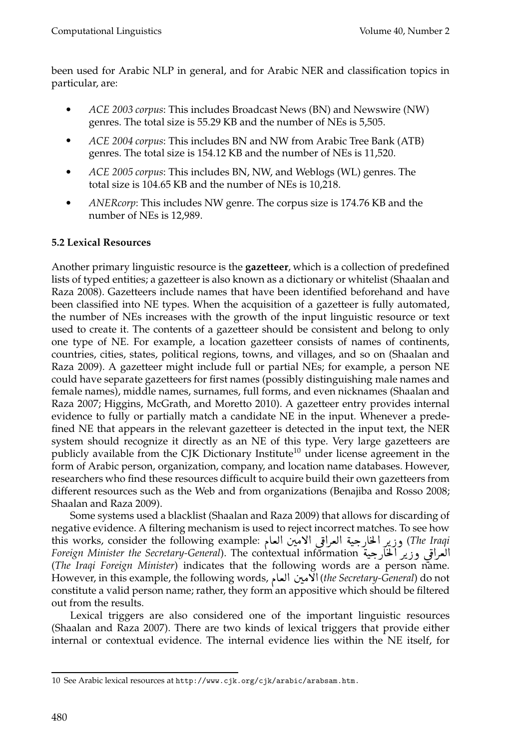been used for Arabic NLP in general, and for Arabic NER and classification topics in particular, are:

- r *ACE 2003 corpus*: This includes Broadcast News (BN) and Newswire (NW) genres. The total size is 55.29 KB and the number of NEs is 5,505.
- r *ACE 2004 corpus*: This includes BN and NW from Arabic Tree Bank (ATB) genres. The total size is 154.12 KB and the number of NEs is 11,520.
- r *ACE 2005 corpus*: This includes BN, NW, and Weblogs (WL) genres. The total size is 104.65 KB and the number of NEs is 10,218.
- r *ANERcorp*: This includes NW genre. The corpus size is 174.76 KB and the number of NEs is 12,989.

# **5.2 Lexical Resources**

Another primary linguistic resource is the **gazetteer**, which is a collection of predefined lists of typed entities; a gazetteer is also known as a dictionary or whitelist (Shaalan and Raza 2008). Gazetteers include names that have been identified beforehand and have been classified into NE types. When the acquisition of a gazetteer is fully automated, the number of NEs increases with the growth of the input linguistic resource or text used to create it. The contents of a gazetteer should be consistent and belong to only one type of NE. For example, a location gazetteer consists of names of continents, countries, cities, states, political regions, towns, and villages, and so on (Shaalan and Raza 2009). A gazetteer might include full or partial NEs; for example, a person NE could have separate gazetteers for first names (possibly distinguishing male names and female names), middle names, surnames, full forms, and even nicknames (Shaalan and Raza 2007; Higgins, McGrath, and Moretto 2010). A gazetteer entry provides internal evidence to fully or partially match a candidate NE in the input. Whenever a predefined NE that appears in the relevant gazetteer is detected in the input text, the NER system should recognize it directly as an NE of this type. Very large gazetteers are publicly available from the CJK Dictionary Institute<sup>10</sup> under license agreement in the form of Arabic person, organization, company, and location name databases. However, researchers who find these resources difficult to acquire build their own gazetteers from different resources such as the Web and from organizations (Benajiba and Rosso 2008; Shaalan and Raza 2009).

Some systems used a blacklist (Shaalan and Raza 2009) that allows for discarding of negative evidence. A filtering mechanism is used to reject incorrect matches. To see how this works, consider the following example: وزير الخارجية العراقي الأمين العام<br>*Che Iraqi) وزير* الخارجية العراقي الأمين العام :<br>المرأة المستوى المصدر Eorgion Minister the Secretary Ceneral). The contextual information  $\ddot{\cdot}$  $\ddot{\phantom{0}}$ <u>.</u><br>5 the Induction العراقي وزير الحارجية العربي الأمين المحمد Foreign Minister the Secretary-General). The contextual information<br>العراقي وزير الحارجية The Iraqi Foreign Minister he Secretary-General). The contextual informat ֦֦֦֧֦֧֦֧֦֧֦֪֦֧֦֪֦֦֦֦֦֦֦֦֦֦֦֦֦֦֦֦֦֦֦֦֦֦֦֦֦֦֝֝֟֓֕֓֕֓֕֓֕֓֕֓֟֓  $\ddot{\cdot}$ m  $\ddot{\cdot}$ m i (*The Iraqi Foreign Minister*) indicates that the following words are a person name. ׇ֧֦֦֦֧֦֧֦֧֦֧֧֦֧֦֧֦֧֦֧֦֧֦֧֓֝֝֝֝֬֜֓֓֕֓֝֬֝֬֜ However, in this example, the following words, ÐAªË@ á ÓB@ (*the Secretary-General*) do not 1  $\ddot{\cdot}$ constitute a valid person name; rather, they form an appositive which should be filtered out from the results.

Lexical triggers are also considered one of the important linguistic resources (Shaalan and Raza 2007). There are two kinds of lexical triggers that provide either internal or contextual evidence. The internal evidence lies within the NE itself, for

<sup>10</sup> See Arabic lexical resources at http://www.cjk.org/cjk/arabic/arabsam.htm.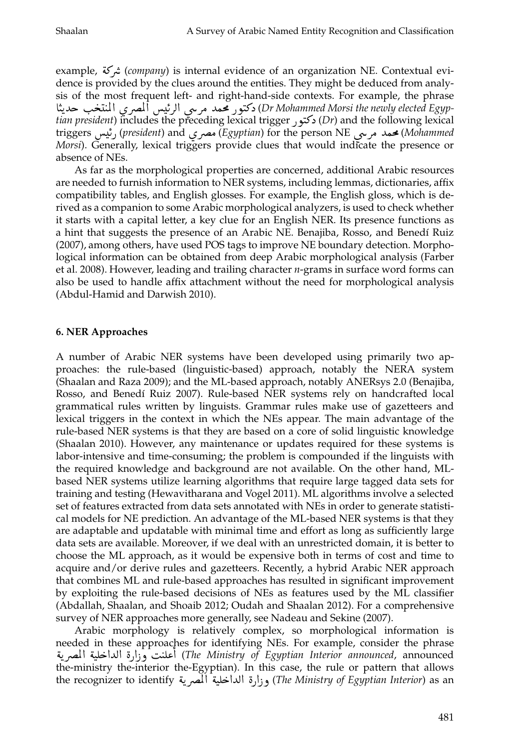example, شركة *(company)* is internal evidence of an organization NE. Contextual evidence is provided by the clues around the entities. They might be deduced from analysis of the most frequent left- and right-hand-side contexts. For example, the phrase ا<br>.  $\ddot{\ddot{\cdot}}$ Dr Mohammed Morsi the newly elected Egyp- دكتور تحمد مرسي الرئيس ألمصري المنتخب حديثة<br>(Dr) and the following lexical trigger دكتو، Dr) and the following lexical <u>ر</u><br>' ; .<br>تم : *tian president*) includes the preceding lexical trigger **(***Dr***)** and the following lexical دکتور (*Dr*) -<br>ر  $\frac{1}{2}$  $\ddot{ }$  $\ddot{\ddot{\ }}$ ليس triggers<br>Marci), Con .<br>ر لامد مرسى *(Egyptian*) for the person NE) محمد مرسى *(president*) and مصري (*Egyptian*) for the person NE<br>erally, lexical triggers provide clues that would indicate the presence or *Morsi*). Generally, lexical triggers provide clues that would indicate the presence or  $\frac{1}{10}$ absence of NEs.

As far as the morphological properties are concerned, additional Arabic resources are needed to furnish information to NER systems, including lemmas, dictionaries, affix compatibility tables, and English glosses. For example, the English gloss, which is derived as a companion to some Arabic morphological analyzers, is used to check whether it starts with a capital letter, a key clue for an English NER. Its presence functions as a hint that suggests the presence of an Arabic NE. Benajiba, Rosso, and Benedí Ruiz (2007), among others, have used POS tags to improve NE boundary detection. Morphological information can be obtained from deep Arabic morphological analysis (Farber et al. 2008). However, leading and trailing character *n*-grams in surface word forms can also be used to handle affix attachment without the need for morphological analysis (Abdul-Hamid and Darwish 2010).

#### **6. NER Approaches**

A number of Arabic NER systems have been developed using primarily two approaches: the rule-based (linguistic-based) approach, notably the NERA system (Shaalan and Raza 2009); and the ML-based approach, notably ANERsys 2.0 (Benajiba, Rosso, and Benedí Ruiz 2007). Rule-based NER systems rely on handcrafted local grammatical rules written by linguists. Grammar rules make use of gazetteers and lexical triggers in the context in which the NEs appear. The main advantage of the rule-based NER systems is that they are based on a core of solid linguistic knowledge (Shaalan 2010). However, any maintenance or updates required for these systems is labor-intensive and time-consuming; the problem is compounded if the linguists with the required knowledge and background are not available. On the other hand, MLbased NER systems utilize learning algorithms that require large tagged data sets for training and testing (Hewavitharana and Vogel 2011). ML algorithms involve a selected set of features extracted from data sets annotated with NEs in order to generate statistical models for NE prediction. An advantage of the ML-based NER systems is that they are adaptable and updatable with minimal time and effort as long as sufficiently large data sets are available. Moreover, if we deal with an unrestricted domain, it is better to choose the ML approach, as it would be expensive both in terms of cost and time to acquire and/or derive rules and gazetteers. Recently, a hybrid Arabic NER approach that combines ML and rule-based approaches has resulted in significant improvement by exploiting the rule-based decisions of NEs as features used by the ML classifier (Abdallah, Shaalan, and Shoaib 2012; Oudah and Shaalan 2012). For a comprehensive survey of NER approaches more generally, see Nadeau and Sekine (2007).

Arabic morphology is relatively complex, so morphological information is needed in these approaches for identifying NEs. For example, consider the phrase .<br>ة rest. To example, consider the phase (pproducted in these upproducted for identitying it also redunitying it i<br>(*The Ministry of Egyptian Interior announced*, announced) أعلنت وزارة الداخلية المصرية یہ<br>ما .<br>ق  $\ddot{\cdot}$  $\overline{a}$ ا<br>أ the-ministry the-interior the-Egyptian). In this case, the rule or pattern that allows the rimistry the interior the Egyptian). In this case, the rate of pattern that anows<br>وزارة الداخلية المصرية (*The Ministry of Egyptian Interior*) as an  $\ddot{\phantom{0}}$ .<br>Ä  $\ddot{\cdot}$  $\overline{a}$ ;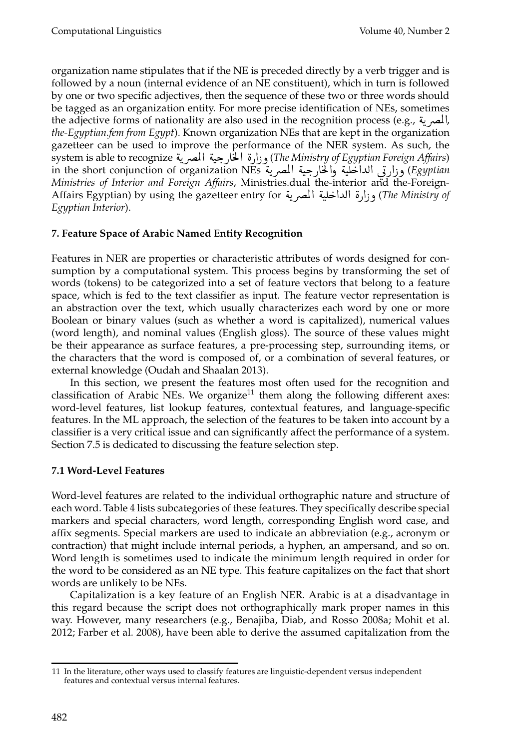organization name stipulates that if the NE is preceded directly by a verb trigger and is followed by a noun (internal evidence of an NE constituent), which in turn is followed by one or two specific adjectives, then the sequence of these two or three words should be tagged as an organization entity. For more precise identification of NEs, sometimes the adjective forms of nationality are also used in the recognition process (e.g., ألصرية, be adjective forms of nationality are also used in the recognition process (e.g., ر<br>*the-Egyptian.fem from Egypt*). Known organization NEs that are kept in the organization gazetteer can be used to improve the performance of the NER system. As such, the system is able to recognize is able to <del>infrove the performance</del> of the TVER system. The start, the<br>Egyptian Foreign Affairs) وزارة الخارجية المصرية the short conjunction of organization NEs <u>ر</u> in the short conjunction of organization NEs والخارجية المصرية)<br>Egyptian وزارتي الداخلية والخارجية المصرية Egyptian<br>Ministrice of Interior and Eorgion Affaire Ministrice dual the interior and the Eorgion .<br>ق  $\ddot{\cdot}$ m <u>ر</u><br>-..<br>ة  $\ddot{\cdot}$ m  $\ddot{\cdot}$  $\overline{a}$ ֦֧֦֦֦֧֪֦֪֦֪֦֪֪֦֪֪֦֪֪֦֧֪֦֧֪֪֦֧֪֪֪֪֦֚֚֝֝֝֝֝֝֟֓֟֝֬֝֟֟֓֟֟֓֟֓֟֓֟  $\frac{1}{1}$  *Ministries of Interior and Foreign Affairs*, Ministries.dual the-interior and the-Foreign-۔<br>ز Affairs Egyptian) by using the gazetteer entry for éK QåÖÏ@ éJ g@YË@ èP@ Pð (*The Ministry of* <u>ب</u><br>. .<br>ة  $\ddot{\phantom{0}}$  $\frac{1}{2}$ *Egyptian Interior*).

# **7. Feature Space of Arabic Named Entity Recognition**

Features in NER are properties or characteristic attributes of words designed for consumption by a computational system. This process begins by transforming the set of words (tokens) to be categorized into a set of feature vectors that belong to a feature space, which is fed to the text classifier as input. The feature vector representation is an abstraction over the text, which usually characterizes each word by one or more Boolean or binary values (such as whether a word is capitalized), numerical values (word length), and nominal values (English gloss). The source of these values might be their appearance as surface features, a pre-processing step, surrounding items, or the characters that the word is composed of, or a combination of several features, or external knowledge (Oudah and Shaalan 2013).

In this section, we present the features most often used for the recognition and classification of Arabic NEs. We organize<sup>11</sup> them along the following different axes: word-level features, list lookup features, contextual features, and language-specific features. In the ML approach, the selection of the features to be taken into account by a classifier is a very critical issue and can significantly affect the performance of a system. Section 7.5 is dedicated to discussing the feature selection step.

# **7.1 Word-Level Features**

Word-level features are related to the individual orthographic nature and structure of each word. Table 4 lists subcategories of these features. They specifically describe special markers and special characters, word length, corresponding English word case, and affix segments. Special markers are used to indicate an abbreviation (e.g., acronym or contraction) that might include internal periods, a hyphen, an ampersand, and so on. Word length is sometimes used to indicate the minimum length required in order for the word to be considered as an NE type. This feature capitalizes on the fact that short words are unlikely to be NEs.

Capitalization is a key feature of an English NER. Arabic is at a disadvantage in this regard because the script does not orthographically mark proper names in this way. However, many researchers (e.g., Benajiba, Diab, and Rosso 2008a; Mohit et al. 2012; Farber et al. 2008), have been able to derive the assumed capitalization from the

<sup>11</sup> In the literature, other ways used to classify features are linguistic-dependent versus independent features and contextual versus internal features.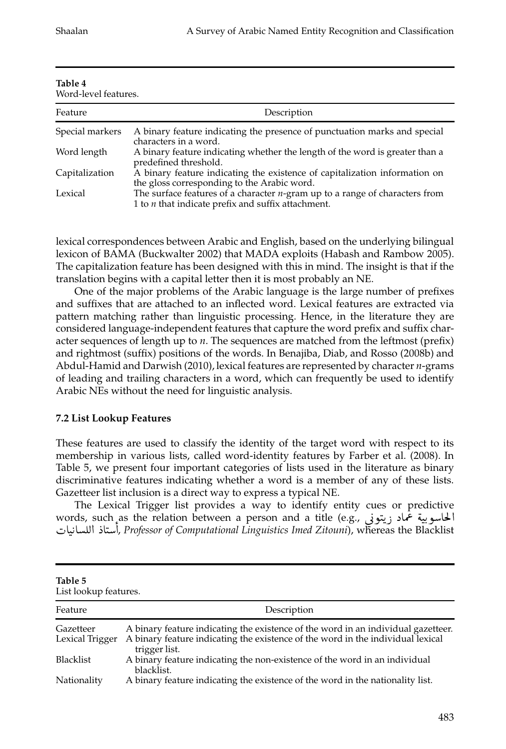| IUVIL 1<br>Word-level features. |                                                                                                                                        |  |  |  |
|---------------------------------|----------------------------------------------------------------------------------------------------------------------------------------|--|--|--|
| Feature                         | Description                                                                                                                            |  |  |  |
| Special markers                 | A binary feature indicating the presence of punctuation marks and special<br>characters in a word.                                     |  |  |  |
| Word length                     | A binary feature indicating whether the length of the word is greater than a<br>predefined threshold.                                  |  |  |  |
| Capitalization                  | A binary feature indicating the existence of capitalization information on<br>the gloss corresponding to the Arabic word.              |  |  |  |
| Lexical                         | The surface features of a character $n$ -gram up to a range of characters from<br>1 to $n$ that indicate prefix and suffix attachment. |  |  |  |

| Table 4 |  |
|---------|--|
|         |  |

lexical correspondences between Arabic and English, based on the underlying bilingual lexicon of BAMA (Buckwalter 2002) that MADA exploits (Habash and Rambow 2005). The capitalization feature has been designed with this in mind. The insight is that if the translation begins with a capital letter then it is most probably an NE.

One of the major problems of the Arabic language is the large number of prefixes and suffixes that are attached to an inflected word. Lexical features are extracted via pattern matching rather than linguistic processing. Hence, in the literature they are considered language-independent features that capture the word prefix and suffix character sequences of length up to *n*. The sequences are matched from the leftmost (prefix) and rightmost (suffix) positions of the words. In Benajiba, Diab, and Rosso (2008b) and Abdul-Hamid and Darwish (2010), lexical features are represented by character *n*-grams of leading and trailing characters in a word, which can frequently be used to identify Arabic NEs without the need for linguistic analysis.

#### **7.2 List Lookup Features**

These features are used to classify the identity of the target word with respect to its membership in various lists, called word-identity features by Farber et al. (2008). In Table 5, we present four important categories of lists used in the literature as binary discriminative features indicating whether a word is a member of any of these lists. Gazetteer list inclusion is a direct way to express a typical NE.

The Lexical Trigger list provides a way to identify entity cues or predictive الحاسوبية غماد زيتوني , words, such as the relation between a person and a title (e.g., الحاسوبية غماد زيتوني<br>Deofecor of Commutational Linquistics Imed Zitouni, whomes the Blacklist المحتمونية للماد ويبوي , sach tas the relation between a person and a file (e.g., أستاذ اللسانيات, P*rofessor of Computational Linguistics Imed Zitouni*), whereas the Blacklist ;  $\ddot{\ddot{\ }}$  $\ddot{\phantom{0}}$ ۔<br>تم  $\frac{1}{1}$ K  $\ddot{\phantom{0}}$ ; أ

| Table 5<br>List lookup features. |                                                                                                  |  |  |  |
|----------------------------------|--------------------------------------------------------------------------------------------------|--|--|--|
| Feature                          | Description                                                                                      |  |  |  |
| Gazetteer                        | A binary feature indicating the existence of the word in an individual gazetteer.                |  |  |  |
| Lexical Trigger                  | A binary feature indicating the existence of the word in the individual lexical<br>trigger list. |  |  |  |
| <b>Blacklist</b>                 | A binary feature indicating the non-existence of the word in an individual<br>blacklist.         |  |  |  |
| Nationality                      | A binary feature indicating the existence of the word in the nationality list.                   |  |  |  |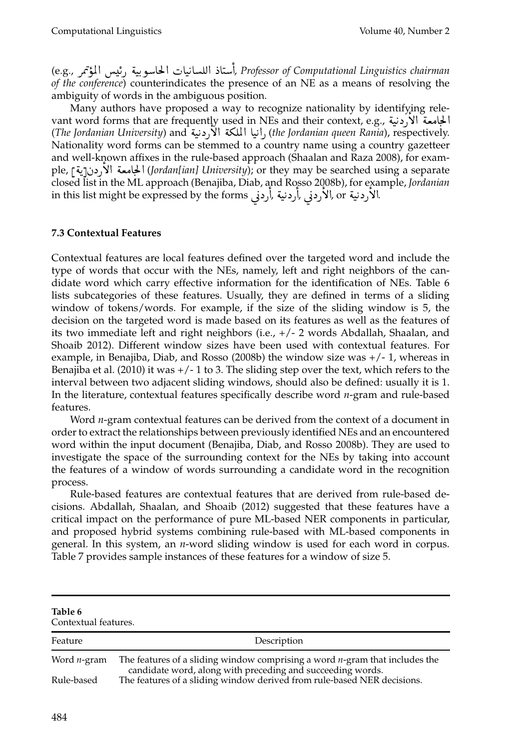e.g., أستاذ اللسانيات الحاسوبية رئيس المؤتمر).<br>of the conference) counterindicates the prosonse of an NE as a moons of resolving the : *of the conference*) counterindicates the presence of an NE as a means of resolving the رُّ .<br>ة  $\ddot{\cdot}$  $\ddot{\cdot}$  $\ddot{\cdot}$ ; أ ambiguity of words in the ambiguous position.

Many authors have proposed a way to recognize nationality by identifying relevant word forms that are frequently used in NEs and their context, e.g., الحامعة الأردنية , vant word forms that are frequently used in NEs and their context, e.g.  $\ddot{\cdot}$ , المستقدم المستقدم المستقدم المستقدم المستقدم المستقدم المستقدم (*The Jordanian University*) and المستقدم المستقد ; ֧֧֪֧֪֧֧֪֪֧֛֧֧֪֧֦֧֛֛֧֛֚֚֚֚֚֚֡֝֜֝֝֜֝֜֝֜֟֜֓֜֓֜ .  $\ddot{\phantom{0}}$ ;  $\ddot{\phantom{0}}$ ; Nationality word forms can be stemmed to a country name using a country gazetteer and well-known affixes in the rule-based approach (Shaalan and Raza 2008), for example, [مجادمة الأردن] (*Jordan[ian] University*); or they may be searched using a separate .<br>ä  $\ddot{\phantom{0}}$  closed list in the ML approach (Benajiba, Diab, and Rosso 2008b), for example, *Jordanian* .<br>. ֪ׅ֪֧֧֧֧֧֧֧֧֪֪֪֪֪֪֪֛֪֪֪֪֪֪֪֪֪֪֪֪֪֪֪֪֪֧֚֚֩֘֘֝֘֝֓֡֟֟֓֝֬֝֓֓֝֬֟֓֓֓֟֓֟֓֓֝֬֝֓֓֝֓֝֓֟֓֝֬ . in this list might be expressed by the forms (الاردني ,اردنية, أردني ,  $\ddot{ }$ ;<br>; ן<br>أ ب<br>ټم  $\ddot{\cdot}$ ; ינ<br>أ Ï. ຸ :<br>4  $\ddot{\cdot}$ ; ξ

#### **7.3 Contextual Features**

Contextual features are local features defined over the targeted word and include the type of words that occur with the NEs, namely, left and right neighbors of the candidate word which carry effective information for the identification of NEs. Table 6 lists subcategories of these features. Usually, they are defined in terms of a sliding window of tokens/words. For example, if the size of the sliding window is 5, the decision on the targeted word is made based on its features as well as the features of its two immediate left and right neighbors (i.e., +/- 2 words Abdallah, Shaalan, and Shoaib 2012). Different window sizes have been used with contextual features. For example, in Benajiba, Diab, and Rosso (2008b) the window size was +/- 1, whereas in Benajiba et al. (2010) it was  $+/-1$  to 3. The sliding step over the text, which refers to the interval between two adjacent sliding windows, should also be defined: usually it is 1. In the literature, contextual features specifically describe word *n*-gram and rule-based features.

Word *n*-gram contextual features can be derived from the context of a document in order to extract the relationships between previously identified NEs and an encountered word within the input document (Benajiba, Diab, and Rosso 2008b). They are used to investigate the space of the surrounding context for the NEs by taking into account the features of a window of words surrounding a candidate word in the recognition process.

Rule-based features are contextual features that are derived from rule-based decisions. Abdallah, Shaalan, and Shoaib (2012) suggested that these features have a critical impact on the performance of pure ML-based NER components in particular, and proposed hybrid systems combining rule-based with ML-based components in general. In this system, an *n*-word sliding window is used for each word in corpus. Table 7 provides sample instances of these features for a window of size 5.

| Table 6<br>Contextual features. |                                                                                                                                              |  |  |
|---------------------------------|----------------------------------------------------------------------------------------------------------------------------------------------|--|--|
| Feature                         | Description                                                                                                                                  |  |  |
| Word <i>n</i> -gram             | The features of a sliding window comprising a word $n$ -gram that includes the<br>candidate word, along with preceding and succeeding words. |  |  |
| Rule-based                      | The features of a sliding window derived from rule-based NER decisions.                                                                      |  |  |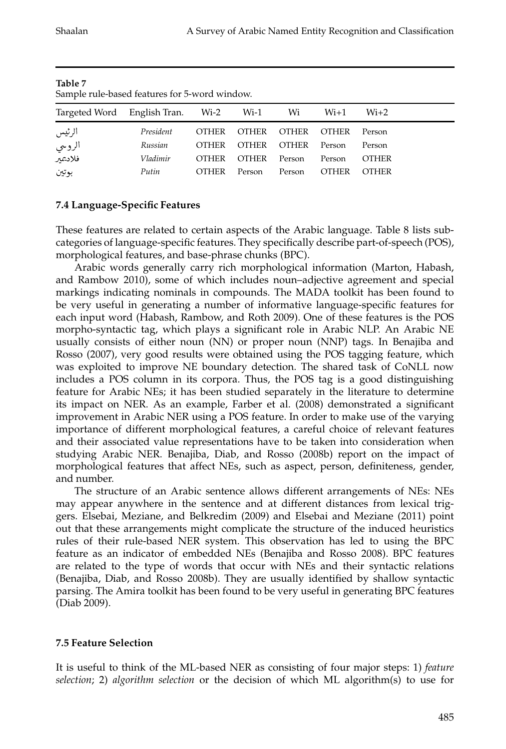| Targeted Word English Tran. Wi-2 Wi-1 Wi |           |       |              |                                | $Wi+1$ | $Wi+2$       |
|------------------------------------------|-----------|-------|--------------|--------------------------------|--------|--------------|
| الرئيس                                   | President |       |              | OTHER OTHER OTHER OTHER Person |        |              |
| الروسي                                   | Russian   |       |              | OTHER OTHER OTHER              | Person | Person       |
| فلاديمير                                 | Vladimir  | OTHER | OTHER Person |                                | Person | <b>OTHER</b> |
| بوتين                                    | Putin     | OTHER | Person       | Person                         | OTHER  | <b>OTHER</b> |

| Table 7 |  |  |                                               |  |
|---------|--|--|-----------------------------------------------|--|
|         |  |  | Sample rule-based features for 5-word window. |  |

#### **7.4 Language-Specific Features**

These features are related to certain aspects of the Arabic language. Table 8 lists subcategories of language-specific features. They specifically describe part-of-speech (POS), morphological features, and base-phrase chunks (BPC).

Arabic words generally carry rich morphological information (Marton, Habash, and Rambow 2010), some of which includes noun–adjective agreement and special markings indicating nominals in compounds. The MADA toolkit has been found to be very useful in generating a number of informative language-specific features for each input word (Habash, Rambow, and Roth 2009). One of these features is the POS morpho-syntactic tag, which plays a significant role in Arabic NLP. An Arabic NE usually consists of either noun (NN) or proper noun (NNP) tags. In Benajiba and Rosso (2007), very good results were obtained using the POS tagging feature, which was exploited to improve NE boundary detection. The shared task of CoNLL now includes a POS column in its corpora. Thus, the POS tag is a good distinguishing feature for Arabic NEs; it has been studied separately in the literature to determine its impact on NER. As an example, Farber et al. (2008) demonstrated a significant improvement in Arabic NER using a POS feature. In order to make use of the varying importance of different morphological features, a careful choice of relevant features and their associated value representations have to be taken into consideration when studying Arabic NER. Benajiba, Diab, and Rosso (2008b) report on the impact of morphological features that affect NEs, such as aspect, person, definiteness, gender, and number.

The structure of an Arabic sentence allows different arrangements of NEs: NEs may appear anywhere in the sentence and at different distances from lexical triggers. Elsebai, Meziane, and Belkredim (2009) and Elsebai and Meziane (2011) point out that these arrangements might complicate the structure of the induced heuristics rules of their rule-based NER system. This observation has led to using the BPC feature as an indicator of embedded NEs (Benajiba and Rosso 2008). BPC features are related to the type of words that occur with NEs and their syntactic relations (Benajiba, Diab, and Rosso 2008b). They are usually identified by shallow syntactic parsing. The Amira toolkit has been found to be very useful in generating BPC features (Diab 2009).

#### **7.5 Feature Selection**

It is useful to think of the ML-based NER as consisting of four major steps: 1) *feature selection*; 2) *algorithm selection* or the decision of which ML algorithm(s) to use for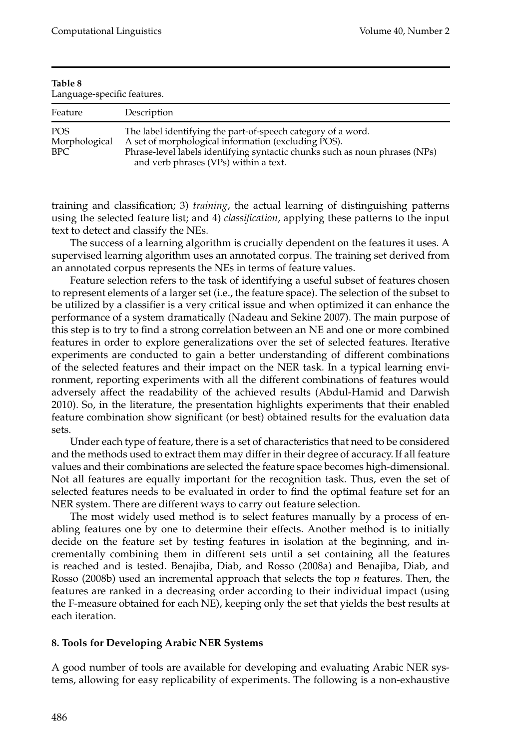| Table 8<br>Language-specific features. |                                                                                                                                                                                                    |  |  |
|----------------------------------------|----------------------------------------------------------------------------------------------------------------------------------------------------------------------------------------------------|--|--|
| Feature                                | Description                                                                                                                                                                                        |  |  |
| <b>POS</b><br>Morphological<br>BPC     | The label identifying the part-of-speech category of a word.<br>A set of morphological information (excluding POS).<br>Phrase-level labels identifying syntactic chunks such as noun phrases (NPs) |  |  |

and verb phrases (VPs) within a text.

training and classification; 3) *training*, the actual learning of distinguishing patterns using the selected feature list; and 4) *classification*, applying these patterns to the input text to detect and classify the NEs.

The success of a learning algorithm is crucially dependent on the features it uses. A supervised learning algorithm uses an annotated corpus. The training set derived from an annotated corpus represents the NEs in terms of feature values.

Feature selection refers to the task of identifying a useful subset of features chosen to represent elements of a larger set (i.e., the feature space). The selection of the subset to be utilized by a classifier is a very critical issue and when optimized it can enhance the performance of a system dramatically (Nadeau and Sekine 2007). The main purpose of this step is to try to find a strong correlation between an NE and one or more combined features in order to explore generalizations over the set of selected features. Iterative experiments are conducted to gain a better understanding of different combinations of the selected features and their impact on the NER task. In a typical learning environment, reporting experiments with all the different combinations of features would adversely affect the readability of the achieved results (Abdul-Hamid and Darwish 2010). So, in the literature, the presentation highlights experiments that their enabled feature combination show significant (or best) obtained results for the evaluation data sets.

Under each type of feature, there is a set of characteristics that need to be considered and the methods used to extract them may differ in their degree of accuracy. If all feature values and their combinations are selected the feature space becomes high-dimensional. Not all features are equally important for the recognition task. Thus, even the set of selected features needs to be evaluated in order to find the optimal feature set for an NER system. There are different ways to carry out feature selection.

The most widely used method is to select features manually by a process of enabling features one by one to determine their effects. Another method is to initially decide on the feature set by testing features in isolation at the beginning, and incrementally combining them in different sets until a set containing all the features is reached and is tested. Benajiba, Diab, and Rosso (2008a) and Benajiba, Diab, and Rosso (2008b) used an incremental approach that selects the top *n* features. Then, the features are ranked in a decreasing order according to their individual impact (using the F-measure obtained for each NE), keeping only the set that yields the best results at each iteration.

#### **8. Tools for Developing Arabic NER Systems**

A good number of tools are available for developing and evaluating Arabic NER systems, allowing for easy replicability of experiments. The following is a non-exhaustive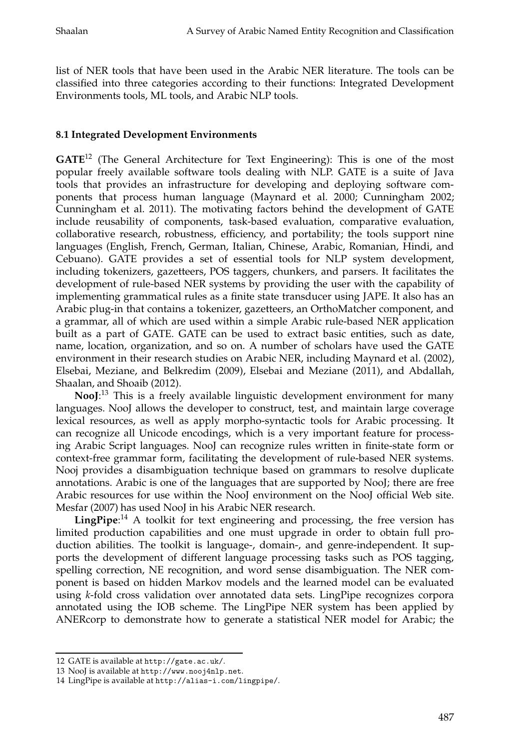list of NER tools that have been used in the Arabic NER literature. The tools can be classified into three categories according to their functions: Integrated Development Environments tools, ML tools, and Arabic NLP tools.

# **8.1 Integrated Development Environments**

**GATE**<sup>12</sup> (The General Architecture for Text Engineering): This is one of the most popular freely available software tools dealing with NLP. GATE is a suite of Java tools that provides an infrastructure for developing and deploying software components that process human language (Maynard et al. 2000; Cunningham 2002; Cunningham et al. 2011). The motivating factors behind the development of GATE include reusability of components, task-based evaluation, comparative evaluation, collaborative research, robustness, efficiency, and portability; the tools support nine languages (English, French, German, Italian, Chinese, Arabic, Romanian, Hindi, and Cebuano). GATE provides a set of essential tools for NLP system development, including tokenizers, gazetteers, POS taggers, chunkers, and parsers. It facilitates the development of rule-based NER systems by providing the user with the capability of implementing grammatical rules as a finite state transducer using JAPE. It also has an Arabic plug-in that contains a tokenizer, gazetteers, an OrthoMatcher component, and a grammar, all of which are used within a simple Arabic rule-based NER application built as a part of GATE. GATE can be used to extract basic entities, such as date, name, location, organization, and so on. A number of scholars have used the GATE environment in their research studies on Arabic NER, including Maynard et al. (2002), Elsebai, Meziane, and Belkredim (2009), Elsebai and Meziane (2011), and Abdallah, Shaalan, and Shoaib (2012).

**NooJ**: <sup>13</sup> This is a freely available linguistic development environment for many languages. NooJ allows the developer to construct, test, and maintain large coverage lexical resources, as well as apply morpho-syntactic tools for Arabic processing. It can recognize all Unicode encodings, which is a very important feature for processing Arabic Script languages. NooJ can recognize rules written in finite-state form or context-free grammar form, facilitating the development of rule-based NER systems. Nooj provides a disambiguation technique based on grammars to resolve duplicate annotations. Arabic is one of the languages that are supported by NooJ; there are free Arabic resources for use within the NooJ environment on the NooJ official Web site. Mesfar (2007) has used NooJ in his Arabic NER research.

LingPipe:<sup>14</sup> A toolkit for text engineering and processing, the free version has limited production capabilities and one must upgrade in order to obtain full production abilities. The toolkit is language-, domain-, and genre-independent. It supports the development of different language processing tasks such as POS tagging, spelling correction, NE recognition, and word sense disambiguation. The NER component is based on hidden Markov models and the learned model can be evaluated using *k*-fold cross validation over annotated data sets. LingPipe recognizes corpora annotated using the IOB scheme. The LingPipe NER system has been applied by ANERcorp to demonstrate how to generate a statistical NER model for Arabic; the

<sup>12</sup> GATE is available at http://gate.ac.uk/.

<sup>13</sup> NooJ is available at http://www.nooj4nlp.net.

<sup>14</sup> LingPipe is available at http://alias-i.com/lingpipe/.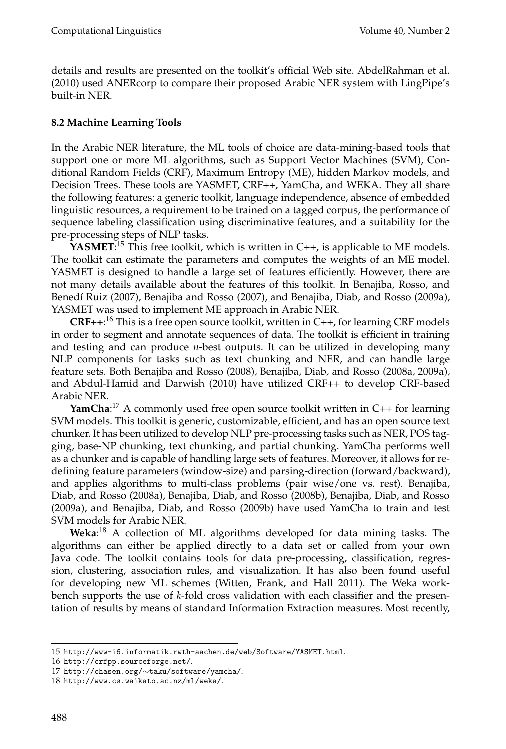details and results are presented on the toolkit's official Web site. AbdelRahman et al. (2010) used ANERcorp to compare their proposed Arabic NER system with LingPipe's built-in NER.

#### **8.2 Machine Learning Tools**

In the Arabic NER literature, the ML tools of choice are data-mining-based tools that support one or more ML algorithms, such as Support Vector Machines (SVM), Conditional Random Fields (CRF), Maximum Entropy (ME), hidden Markov models, and Decision Trees. These tools are YASMET, CRF++, YamCha, and WEKA. They all share the following features: a generic toolkit, language independence, absence of embedded linguistic resources, a requirement to be trained on a tagged corpus, the performance of sequence labeling classification using discriminative features, and a suitability for the pre-processing steps of NLP tasks.

YASMET<sup>.15</sup> This free toolkit, which is written in C++, is applicable to ME models. The toolkit can estimate the parameters and computes the weights of an ME model. YASMET is designed to handle a large set of features efficiently. However, there are not many details available about the features of this toolkit. In Benajiba, Rosso, and Benedí Ruiz (2007), Benajiba and Rosso (2007), and Benajiba, Diab, and Rosso (2009a), YASMET was used to implement ME approach in Arabic NER.

**CRF++**: <sup>16</sup> This is a free open source toolkit, written in C++, for learning CRF models in order to segment and annotate sequences of data. The toolkit is efficient in training and testing and can produce *n*-best outputs. It can be utilized in developing many NLP components for tasks such as text chunking and NER, and can handle large feature sets. Both Benajiba and Rosso (2008), Benajiba, Diab, and Rosso (2008a, 2009a), and Abdul-Hamid and Darwish (2010) have utilized CRF++ to develop CRF-based Arabic NER.

**YamCha**:<sup>17</sup> A commonly used free open source toolkit written in C++ for learning SVM models. This toolkit is generic, customizable, efficient, and has an open source text chunker. It has been utilized to develop NLP pre-processing tasks such as NER, POS tagging, base-NP chunking, text chunking, and partial chunking. YamCha performs well as a chunker and is capable of handling large sets of features. Moreover, it allows for redefining feature parameters (window-size) and parsing-direction (forward/backward), and applies algorithms to multi-class problems (pair wise/one vs. rest). Benajiba, Diab, and Rosso (2008a), Benajiba, Diab, and Rosso (2008b), Benajiba, Diab, and Rosso (2009a), and Benajiba, Diab, and Rosso (2009b) have used YamCha to train and test SVM models for Arabic NER.

**Weka**: <sup>18</sup> A collection of ML algorithms developed for data mining tasks. The algorithms can either be applied directly to a data set or called from your own Java code. The toolkit contains tools for data pre-processing, classification, regression, clustering, association rules, and visualization. It has also been found useful for developing new ML schemes (Witten, Frank, and Hall 2011). The Weka workbench supports the use of *k*-fold cross validation with each classifier and the presentation of results by means of standard Information Extraction measures. Most recently,

<sup>15</sup> http://www-i6.informatik.rwth-aachen.de/web/Software/YASMET.html.

<sup>16</sup> http://crfpp.sourceforge.net/.

<sup>17</sup> http://chasen.org/∼taku/software/yamcha/.

<sup>18</sup> http://www.cs.waikato.ac.nz/ml/weka/.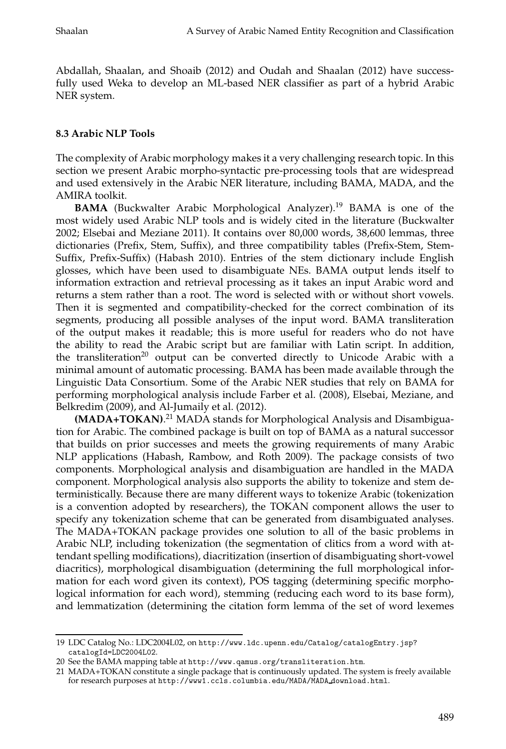Abdallah, Shaalan, and Shoaib (2012) and Oudah and Shaalan (2012) have successfully used Weka to develop an ML-based NER classifier as part of a hybrid Arabic NER system.

# **8.3 Arabic NLP Tools**

The complexity of Arabic morphology makes it a very challenging research topic. In this section we present Arabic morpho-syntactic pre-processing tools that are widespread and used extensively in the Arabic NER literature, including BAMA, MADA, and the AMIRA toolkit.

**BAMA** (Buckwalter Arabic Morphological Analyzer).<sup>19</sup> BAMA is one of the most widely used Arabic NLP tools and is widely cited in the literature (Buckwalter 2002; Elsebai and Meziane 2011). It contains over 80,000 words, 38,600 lemmas, three dictionaries (Prefix, Stem, Suffix), and three compatibility tables (Prefix-Stem, Stem-Suffix, Prefix-Suffix) (Habash 2010). Entries of the stem dictionary include English glosses, which have been used to disambiguate NEs. BAMA output lends itself to information extraction and retrieval processing as it takes an input Arabic word and returns a stem rather than a root. The word is selected with or without short vowels. Then it is segmented and compatibility-checked for the correct combination of its segments, producing all possible analyses of the input word. BAMA transliteration of the output makes it readable; this is more useful for readers who do not have the ability to read the Arabic script but are familiar with Latin script. In addition, the transliteration<sup>20</sup> output can be converted directly to Unicode Arabic with a minimal amount of automatic processing. BAMA has been made available through the Linguistic Data Consortium. Some of the Arabic NER studies that rely on BAMA for performing morphological analysis include Farber et al. (2008), Elsebai, Meziane, and Belkredim (2009), and Al-Jumaily et al. (2012).

**(MADA+TOKAN)**. <sup>21</sup> MADA stands for Morphological Analysis and Disambiguation for Arabic. The combined package is built on top of BAMA as a natural successor that builds on prior successes and meets the growing requirements of many Arabic NLP applications (Habash, Rambow, and Roth 2009). The package consists of two components. Morphological analysis and disambiguation are handled in the MADA component. Morphological analysis also supports the ability to tokenize and stem deterministically. Because there are many different ways to tokenize Arabic (tokenization is a convention adopted by researchers), the TOKAN component allows the user to specify any tokenization scheme that can be generated from disambiguated analyses. The MADA+TOKAN package provides one solution to all of the basic problems in Arabic NLP, including tokenization (the segmentation of clitics from a word with attendant spelling modifications), diacritization (insertion of disambiguating short-vowel diacritics), morphological disambiguation (determining the full morphological information for each word given its context), POS tagging (determining specific morphological information for each word), stemming (reducing each word to its base form), and lemmatization (determining the citation form lemma of the set of word lexemes

<sup>19</sup> LDC Catalog No.: LDC2004L02, on http://www.ldc.upenn.edu/Catalog/catalogEntry.jsp? catalogId=LDC2004L02.

<sup>20</sup> See the BAMA mapping table at http://www.qamus.org/transliteration.htm.

<sup>21</sup> MADA+TOKAN constitute a single package that is continuously updated. The system is freely available for research purposes at http://www1.ccls.columbia.edu/MADA/MADA download.html.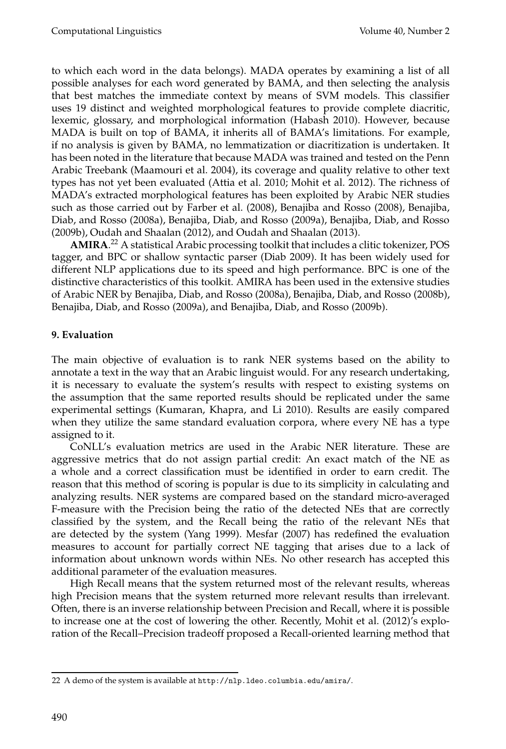to which each word in the data belongs). MADA operates by examining a list of all possible analyses for each word generated by BAMA, and then selecting the analysis that best matches the immediate context by means of SVM models. This classifier uses 19 distinct and weighted morphological features to provide complete diacritic, lexemic, glossary, and morphological information (Habash 2010). However, because MADA is built on top of BAMA, it inherits all of BAMA's limitations. For example, if no analysis is given by BAMA, no lemmatization or diacritization is undertaken. It has been noted in the literature that because MADA was trained and tested on the Penn Arabic Treebank (Maamouri et al. 2004), its coverage and quality relative to other text types has not yet been evaluated (Attia et al. 2010; Mohit et al. 2012). The richness of MADA's extracted morphological features has been exploited by Arabic NER studies such as those carried out by Farber et al. (2008), Benajiba and Rosso (2008), Benajiba, Diab, and Rosso (2008a), Benajiba, Diab, and Rosso (2009a), Benajiba, Diab, and Rosso (2009b), Oudah and Shaalan (2012), and Oudah and Shaalan (2013).

**AMIRA**. <sup>22</sup> A statistical Arabic processing toolkit that includes a clitic tokenizer, POS tagger, and BPC or shallow syntactic parser (Diab 2009). It has been widely used for different NLP applications due to its speed and high performance. BPC is one of the distinctive characteristics of this toolkit. AMIRA has been used in the extensive studies of Arabic NER by Benajiba, Diab, and Rosso (2008a), Benajiba, Diab, and Rosso (2008b), Benajiba, Diab, and Rosso (2009a), and Benajiba, Diab, and Rosso (2009b).

# **9. Evaluation**

The main objective of evaluation is to rank NER systems based on the ability to annotate a text in the way that an Arabic linguist would. For any research undertaking, it is necessary to evaluate the system's results with respect to existing systems on the assumption that the same reported results should be replicated under the same experimental settings (Kumaran, Khapra, and Li 2010). Results are easily compared when they utilize the same standard evaluation corpora, where every NE has a type assigned to it.

CoNLL's evaluation metrics are used in the Arabic NER literature. These are aggressive metrics that do not assign partial credit: An exact match of the NE as a whole and a correct classification must be identified in order to earn credit. The reason that this method of scoring is popular is due to its simplicity in calculating and analyzing results. NER systems are compared based on the standard micro-averaged F-measure with the Precision being the ratio of the detected NEs that are correctly classified by the system, and the Recall being the ratio of the relevant NEs that are detected by the system (Yang 1999). Mesfar (2007) has redefined the evaluation measures to account for partially correct NE tagging that arises due to a lack of information about unknown words within NEs. No other research has accepted this additional parameter of the evaluation measures.

High Recall means that the system returned most of the relevant results, whereas high Precision means that the system returned more relevant results than irrelevant. Often, there is an inverse relationship between Precision and Recall, where it is possible to increase one at the cost of lowering the other. Recently, Mohit et al. (2012)'s exploration of the Recall–Precision tradeoff proposed a Recall-oriented learning method that

<sup>22</sup> A demo of the system is available at http://nlp.ldeo.columbia.edu/amira/.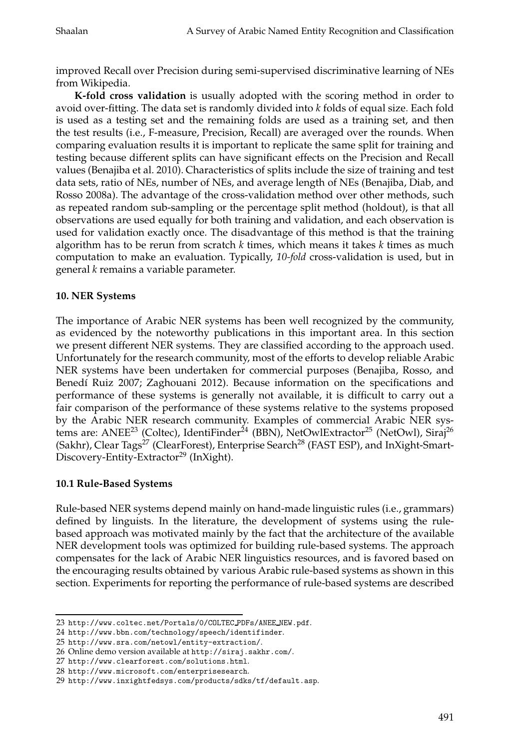improved Recall over Precision during semi-supervised discriminative learning of NEs from Wikipedia.

**K-fold cross validation** is usually adopted with the scoring method in order to avoid over-fitting. The data set is randomly divided into *k* folds of equal size. Each fold is used as a testing set and the remaining folds are used as a training set, and then the test results (i.e., F-measure, Precision, Recall) are averaged over the rounds. When comparing evaluation results it is important to replicate the same split for training and testing because different splits can have significant effects on the Precision and Recall values (Benajiba et al. 2010). Characteristics of splits include the size of training and test data sets, ratio of NEs, number of NEs, and average length of NEs (Benajiba, Diab, and Rosso 2008a). The advantage of the cross-validation method over other methods, such as repeated random sub-sampling or the percentage split method (holdout), is that all observations are used equally for both training and validation, and each observation is used for validation exactly once. The disadvantage of this method is that the training algorithm has to be rerun from scratch *k* times, which means it takes *k* times as much computation to make an evaluation. Typically, *10-fold* cross-validation is used, but in general *k* remains a variable parameter.

# **10. NER Systems**

The importance of Arabic NER systems has been well recognized by the community, as evidenced by the noteworthy publications in this important area. In this section we present different NER systems. They are classified according to the approach used. Unfortunately for the research community, most of the efforts to develop reliable Arabic NER systems have been undertaken for commercial purposes (Benajiba, Rosso, and Benedí Ruiz 2007; Zaghouani 2012). Because information on the specifications and performance of these systems is generally not available, it is difficult to carry out a fair comparison of the performance of these systems relative to the systems proposed by the Arabic NER research community. Examples of commercial Arabic NER systems are: ANEE<sup>23</sup> (Coltec), IdentiFinder<sup>24</sup> (BBN), NetOwlExtractor<sup>25</sup> (NetOwl), Siraj<sup>26</sup> (Sakhr), Clear Tags<sup>27</sup> (ClearForest), Enterprise Search<sup>28</sup> (FAST ESP), and InXight-Smart-Discovery-Entity-Extractor<sup>29</sup> (InXight).

#### **10.1 Rule-Based Systems**

Rule-based NER systems depend mainly on hand-made linguistic rules (i.e., grammars) defined by linguists. In the literature, the development of systems using the rulebased approach was motivated mainly by the fact that the architecture of the available NER development tools was optimized for building rule-based systems. The approach compensates for the lack of Arabic NER linguistics resources, and is favored based on the encouraging results obtained by various Arabic rule-based systems as shown in this section. Experiments for reporting the performance of rule-based systems are described

<sup>23</sup> http://www.coltec.net/Portals/0/COLTEC PDFs/ANEE NEW.pdf.

<sup>24</sup> http://www.bbn.com/technology/speech/identifinder.

<sup>25</sup> http://www.sra.com/netowl/entity-extraction/.

<sup>26</sup> Online demo version available at http://siraj.sakhr.com/.

<sup>27</sup> http://www.clearforest.com/solutions.html.

<sup>28</sup> http://www.microsoft.com/enterprisesearch.

<sup>29</sup> http://www.inxightfedsys.com/products/sdks/tf/default.asp.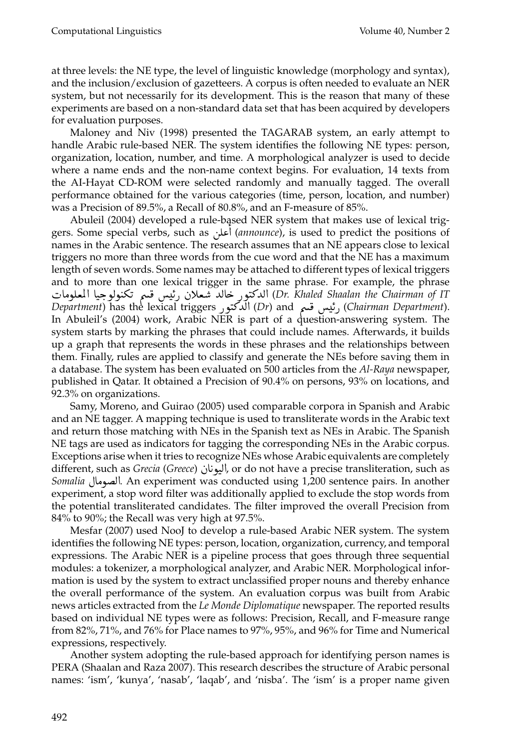at three levels: the NE type, the level of linguistic knowledge (morphology and syntax), and the inclusion/exclusion of gazetteers. A corpus is often needed to evaluate an NER system, but not necessarily for its development. This is the reason that many of these experiments are based on a non-standard data set that has been acquired by developers for evaluation purposes.

Maloney and Niv (1998) presented the TAGARAB system, an early attempt to handle Arabic rule-based NER. The system identifies the following NE types: person, organization, location, number, and time. A morphological analyzer is used to decide where a name ends and the non-name context begins. For evaluation, 14 texts from the AI-Hayat CD-ROM were selected randomly and manually tagged. The overall performance obtained for the various categories (time, person, location, and number) was a Precision of 89.5%, a Recall of 80.8%, and an F-measure of 85%.

Abuleil (2004) developed a rule-based NER system that makes use of lexical triggers. Some special verbs, such as أعلن *(announce*), is used to predict the positions of ましょ names in the Arabic sentence. The research assumes that an NE appears close to lexical triggers no more than three words from the cue word and that the NE has a maximum length of seven words. Some names may be attached to different types of lexical triggers and to more than one lexical trigger in the same phrase. For example, the phrase had to more hair ene reach ingger in the earne prince. The rainpro, the prince<br>Dr. Khaled Shaalan the Chairman of IT) الدكتور خالد شعلان رئيس قسم تكنولوجيا المعلومات<br>Chairman Denartmant) ين مقدم العلام (Dr. and :<br>∶ .<br>ق .<br>تو .<br>.<br>.  $\ddot{\phantom{0}}$ Department) has the lexical triggers الدكتور (*Dr*) and رئيس قسم (*Chairman Department*).<br>In Abuloil's (2004) work, Arabic NER is part of a duostion-answoring system. The : .<br>و .<br>ر In Abuleil's (2004) work, Arabic NER is part of a question-answering system. The system starts by marking the phrases that could include names. Afterwards, it builds up a graph that represents the words in these phrases and the relationships between them. Finally, rules are applied to classify and generate the NEs before saving them in a database. The system has been evaluated on 500 articles from the *Al-Raya* newspaper, published in Qatar. It obtained a Precision of 90.4% on persons, 93% on locations, and 92.3% on organizations.

Samy, Moreno, and Guirao (2005) used comparable corpora in Spanish and Arabic and an NE tagger. A mapping technique is used to transliterate words in the Arabic text and return those matching with NEs in the Spanish text as NEs in Arabic. The Spanish NE tags are used as indicators for tagging the corresponding NEs in the Arabic corpus. Exceptions arise when it tries to recognize NEs whose Arabic equivalents are completely different, such as *Grecia* (*Greece*) àA KñJ Ë@, or do not have a precise transliteration, such as .<br>.<br>. *Somalia* ÈAÓñË@. An experiment was conducted using 1,200 sentence pairs. In another experiment, a stop word filter was additionally applied to exclude the stop words from the potential transliterated candidates. The filter improved the overall Precision from 84% to 90%; the Recall was very high at 97.5%.

Mesfar (2007) used NooJ to develop a rule-based Arabic NER system. The system identifies the following NE types: person, location, organization, currency, and temporal expressions. The Arabic NER is a pipeline process that goes through three sequential modules: a tokenizer, a morphological analyzer, and Arabic NER. Morphological information is used by the system to extract unclassified proper nouns and thereby enhance the overall performance of the system. An evaluation corpus was built from Arabic news articles extracted from the *Le Monde Diplomatique* newspaper. The reported results based on individual NE types were as follows: Precision, Recall, and F-measure range from 82%, 71%, and 76% for Place names to 97%, 95%, and 96% for Time and Numerical expressions, respectively.

Another system adopting the rule-based approach for identifying person names is PERA (Shaalan and Raza 2007). This research describes the structure of Arabic personal names: 'ism', 'kunya', 'nasab', 'laqab', and 'nisba'. The 'ism' is a proper name given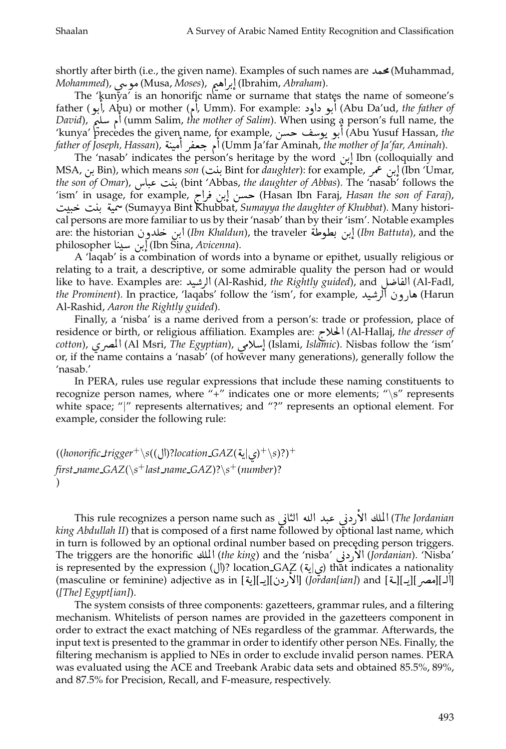shortly after birth (i.e., the given name). Examples of such names are  $\blacktriangle$  (Muhammad, Mohammed), راهیم (Musa, *Moses), پاهیم* (Ibrahim, *Abraham*).<br>The 'kunya' is an honorific name or surname that sta @ ا<br>ع

₹ The 'kunÿa' is an honorific name or surname that states the name of someone's father (ñK. @, Abu) or mother (Ð @, Umm). For example: Xð@X ñK. @ (Abu Da'ud, *the father of* ۲<br>أ <u>ון</u> i *David*), Õæ Ê Ð @ (umm Salim, *the mother of Salim*). When using a person's full name, the kunya' precedes the given name, for example, when esing a person b fail hance, are<br>(Abu Yusuf Hassan, *the أبو يوسف حسن) (Nau Yusuf Hassan, the father of Iocenh Hassan)* ว<br>โ E<br>I r (1884) The Hassan, and the given haline, to example, by Equipper (1884) The mother of Joseph, Hassan,<br>(Umm Ja'far Aminah, *the mother of Ja'far, Aminah).*<br>The 'naseb' indicates the person's besitres by the word . I lim ;<br>;  $\ddot{\cdot}$ أ 

The 'nasab' indicates the person's heritage by the word إبن Ibn (colloquially and . @ ا<br>م MSA, áK . Bin), which means *son* (I K . Bint for *daughter*): for example, QÔ« áK (Ibn 'Umar, j .<br>. @ إ the son of Omar), بنت عباس (bint 'Abbas, *the daughter of Abbas*). The 'nasab' follows the<br>'ism' in usage, for example, -i.j., d. d. c. (Hasap Jbp Faraj, *Hesen the son of Faraj*) ; . ine and *g* is the anaginer of frome). The filished follows the son by Sim' in usage, for example, مسن إبن فراح<br>Hasan Ibn Faraj, *Hasan the son of Faraj*), (Hasan the son of Faraj), (Hasan the son of Faraj), (Sumayya Bint . |<br>F إ سبة بنت خبيت (Sumayya Bint Khubbat*, Sumayya the daughter of Khubbat*). Many histori-ا.<br>أ  $\ddot{\cdot}$ .<br>.<br>. ; . -<br>4  $\ddot{\cdot}$  $\overline{ }$ cal persons are more familiar to us by their 'nasab' than by their 'ism'. Notable examples ear persons are more rammar to as by aren mosas anarroy aren form revease examples<br>are: the historian بابن خلدون (*Ibn Khaldun*), the traveler إبن بطوطة (*Ibn Battuta*), and the . . |<br>|<br>F ا<br>ع philosopher <u>آبن</u> سينا (Ibn Sina, *Avicenna*).<br>A (lagab' is a combination of words .<br>. . |<br>|<br>F

ا<br>-A 'laqab' is a combination of words into a byname or epithet, usually religious or relating to a trait, a descriptive, or some admirable quality the person had or would like to have. Examples are: الرشيد (Al-Rashid*, the Rightly guided*), and الرشيد (Al-Fadl,  $\ddot{\cdot}$ the Prominent). In practice, 'laqabs' follow the 'ism', for example, مارون الرشيد.<br>Harun) هارون الرشيد (Harun  $\ddot{\phantom{0}}$ Al-Rashid, *Aaron the Rightly guided*).

Finally, a 'nisba' is a name derived from a person's: trade or profession, place of residence or birth, or religious affiliation. Examples are: الحلاح (Al-Hallaj, *the dresser of* cotton), المصري (Al Msri, *The Egyptian*), إسلامي (Islami, *Islamic*). Nisbas follow the 'ism'<br>or. if the name contains a 'nasab' (of however many generations), generally follow the or, if the name contains a 'nasab' (of however many generations), generally follow the  $\frac{1}{\lambda}$ ا<br>م 'nasab.'

In PERA, rules use regular expressions that include these naming constituents to recognize person names, where "+" indicates one or more elements; "\s" represents white space; "|" represents alternatives; and "?" represents an optional element. For example, consider the following rule:

((*honorific trigger*+\*s*((È@)?*location GAZ*( éK ..<br>ä  $\ddot{\phantom{0}}$ |ø ) <sup>+</sup>\*s*)?)<sup>+</sup> *first name GAZ*(\*s* <sup>+</sup>*last name GAZ*)?\*s* <sup>+</sup>(*number*)? )

This rule recognizes a person name such as ألماك الأردني عبد الله الثاني This rule recognizes a person name such<br>Abdullah ID that is composed of a first pame followed by eptiemal last pame, which ۔<br>آ *king Abdullah II*) that is composed of a first name followed by optional last name, which į  $\frac{1}{\Gamma}$ į ξ in turn is followed by an optional ordinal number based on preceding person triggers. The triggers are the honorific ½ÊÖÏ@ (*the king*) and the 'nisba' ú GXP B@ (*Jordanian*). 'Nisba' ä is represented by the expression (إن إية) that in GAZ (إذا)? location GAZ ( إي إية) that .<br>. ミミ <u>ر</u><br>آ hat indicates a nationality (ي|<br>الد]المصر ]السالـة] [and] ordanlian had indicates a nationality (في يها من المستخدم العدم المستخدم المستخدم المستخدم المستخدم المستخدم المستخدم ال<br>[آلـ][مصر ][يـ][ية] (*Jordan[ian]*) and [] [آلاردن][يـ][ية] (*Jordan[ian]*) and <u>ب</u><br>. <u>ر</u> ξ <u>ر</u> (*[The] Egypt[ian]*).

The system consists of three components: gazetteers, grammar rules, and a filtering mechanism. Whitelists of person names are provided in the gazetteers component in order to extract the exact matching of NEs regardless of the grammar. Afterwards, the input text is presented to the grammar in order to identify other person NEs. Finally, the filtering mechanism is applied to NEs in order to exclude invalid person names. PERA was evaluated using the ACE and Treebank Arabic data sets and obtained 85.5%, 89%, and 87.5% for Precision, Recall, and F-measure, respectively.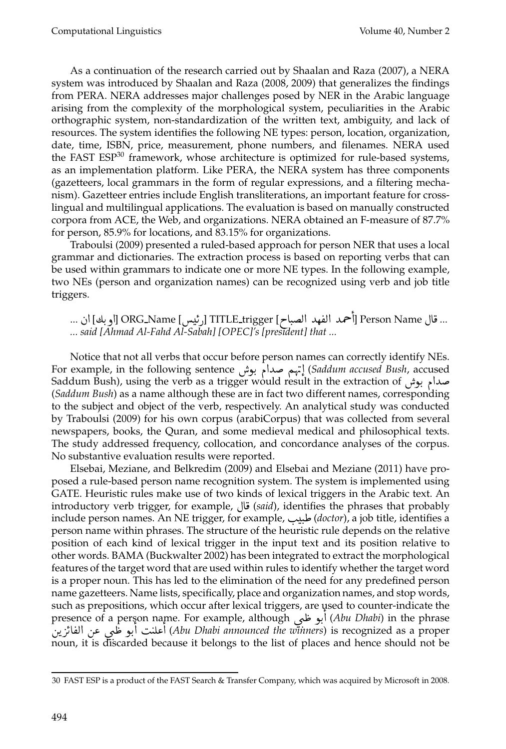As a continuation of the research carried out by Shaalan and Raza (2007), a NERA system was introduced by Shaalan and Raza (2008, 2009) that generalizes the findings from PERA. NERA addresses major challenges posed by NER in the Arabic language arising from the complexity of the morphological system, peculiarities in the Arabic orthographic system, non-standardization of the written text, ambiguity, and lack of resources. The system identifies the following NE types: person, location, organization, date, time, ISBN, price, measurement, phone numbers, and filenames. NERA used the FAST ESP<sup>30</sup> framework, whose architecture is optimized for rule-based systems, as an implementation platform. Like PERA, the NERA system has three components (gazetteers, local grammars in the form of regular expressions, and a filtering mechanism). Gazetteer entries include English transliterations, an important feature for crosslingual and multilingual applications. The evaluation is based on manually constructed corpora from ACE, the Web, and organizations. NERA obtained an F-measure of 87.7% for person, 85.9% for locations, and 83.15% for organizations.

Traboulsi (2009) presented a ruled-based approach for person NER that uses a local grammar and dictionaries. The extraction process is based on reporting verbs that can be used within grammars to indicate one or more NE types. In the following example, two NEs (person and organization names) can be recognized using verb and job title triggers.

... قال Person Name [أحمد الفهد الصباح] TITLE\_trigger [رئيس] ORG\_Name [إو بك] ان ...<br>caid LAhmed ALFeld ALSebel LOPECI's InresidentLthat ֦֧֦֧֦֧֦֧֦֧֦֧֦֧֡ رُ أ *... said [Ahmad Al-Fahd Al-Sabah] [OPEC]'s [president] that ...*

Notice that not all verbs that occur before person names can correctly identify NEs. For example, in the following sentence ñK Ð@Y Ñî E@ (*Saddum accused Bush*, accused j . ا<br>أ صدام بوش Saddum Bush), using the verb as a trigger would result in the extraction of<br>مسلمان المسلم ة.<br>تأ . (*Saddum Bush*) as a name although these are in fact two different names, corresponding to the subject and object of the verb, respectively. An analytical study was conducted by Traboulsi (2009) for his own corpus (arabiCorpus) that was collected from several newspapers, books, the Quran, and some medieval medical and philosophical texts. The study addressed frequency, collocation, and concordance analyses of the corpus. No substantive evaluation results were reported.

Elsebai, Meziane, and Belkredim (2009) and Elsebai and Meziane (2011) have proposed a rule-based person name recognition system. The system is implemented using GATE. Heuristic rules make use of two kinds of lexical triggers in the Arabic text. An introductory verb trigger, for example, ÈA ¯ (*said*), identifies the phrases that probably include person names. An NE trigger, for example, I. .£ (*doctor*), a job title, identifies a  $\colon$ person name within phrases. The structure of the heuristic rule depends on the relative position of each kind of lexical trigger in the input text and its position relative to other words. BAMA (Buckwalter 2002) has been integrated to extract the morphological features of the target word that are used within rules to identify whether the target word is a proper noun. This has led to the elimination of the need for any predefined person name gazetteers. Name lists, specifically, place and organization names, and stop words, such as prepositions, which occur after lexical triggers, are used to counter-indicate the presence of a person name. For example, although *قطي (<i>Abu Dhabi***)** in the phrase presence of a person name. For example, although أبو ظبي (*Abu Dhabi*) in the phrase  $\frac{1}{i}$ exerice of a person nance i of example, annough by their simely in the phase (*Abu Dhabi announced the winners*) is recognized as a proper<br>noun it is discarded because it belongs to the list of places and bence should not . |<br>|<br>| <u>.</u><br>^ -<br>ر ŕ noun, it is discarded because it belongs to the list of places and hence should not be . יי<br>ון ׀<br>أ

<sup>30</sup> FAST ESP is a product of the FAST Search & Transfer Company, which was acquired by Microsoft in 2008.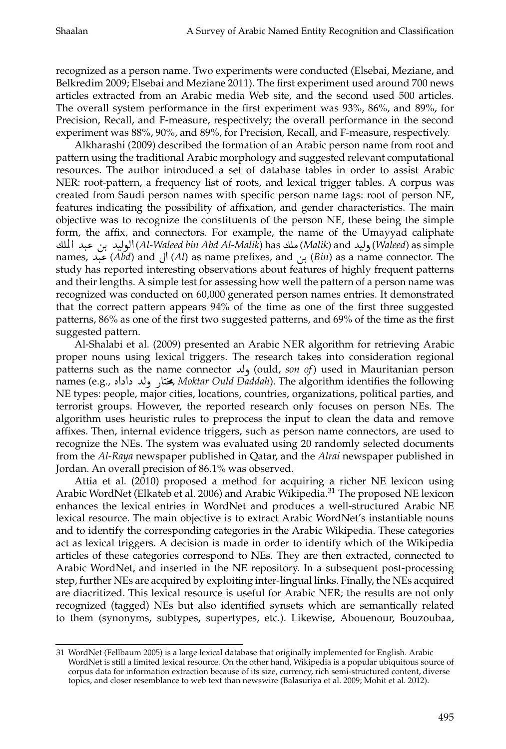recognized as a person name. Two experiments were conducted (Elsebai, Meziane, and Belkredim 2009; Elsebai and Meziane 2011). The first experiment used around 700 news articles extracted from an Arabic media Web site, and the second used 500 articles. The overall system performance in the first experiment was 93%, 86%, and 89%, for Precision, Recall, and F-measure, respectively; the overall performance in the second experiment was 88%, 90%, and 89%, for Precision, Recall, and F-measure, respectively.

Alkharashi (2009) described the formation of an Arabic person name from root and pattern using the traditional Arabic morphology and suggested relevant computational resources. The author introduced a set of database tables in order to assist Arabic NER: root-pattern, a frequency list of roots, and lexical trigger tables. A corpus was created from Saudi person names with specific person name tags: root of person NE, features indicating the possibility of affixation, and gender characteristics. The main objective was to recognize the constituents of the person NE, these being the simple form, the affix, and connectors. For example, the name of the Umayyad caliphate للغا (*Valeed*) as simple ) وليد Malik) has (*Al-Waleed bin Abd Al-Malik*) has ) مراد (*Ald*) as simple<br>names , ) و (*Ald*) and JJ (*Al) as name profixes, and* , (*Bin) as a name connector*. The  $\ddot{\cdot}$  $\ddot{\cdot}$ names, أبي (*Abd*) and أبي (*Al)* as name prefixes, and أبو *(Bin*) as a name connector. The the presented interesting observations about features of bighly frequent patterns . study has reported interesting observations about features of highly frequent patterns and their lengths. A simple test for assessing how well the pattern of a person name was recognized was conducted on 60,000 generated person names entries. It demonstrated that the correct pattern appears 94% of the time as one of the first three suggested patterns, 86% as one of the first two suggested patterns, and 69% of the time as the first suggested pattern.

Al-Shalabi et al. (2009) presented an Arabic NER algorithm for retrieving Arabic proper nouns using lexical triggers. The research takes into consideration regional patterns such as the name connector YËð (ould, *son of*) used in Mauritanian person names (e.g., فاستقدمت *المسلمانية Moktar Ould Daddah*). The algorithm identifies the following  $\ddot{\phantom{0}}$ ֦֧֦֦֦֧֦֧֦֧֪֚֚֚֚֝֝֝֝֬֝֝<br>֧֪֪֖֚֚֝֝֝**֚** NE types: people, major cities, locations, countries, organizations, political parties, and terrorist groups. However, the reported research only focuses on person NEs. The algorithm uses heuristic rules to preprocess the input to clean the data and remove affixes. Then, internal evidence triggers, such as person name connectors, are used to recognize the NEs. The system was evaluated using 20 randomly selected documents from the *Al-Raya* newspaper published in Qatar, and the *Alrai* newspaper published in Jordan. An overall precision of 86.1% was observed.

Attia et al. (2010) proposed a method for acquiring a richer NE lexicon using Arabic WordNet (Elkateb et al. 2006) and Arabic Wikipedia.<sup>31</sup> The proposed NE lexicon enhances the lexical entries in WordNet and produces a well-structured Arabic NE lexical resource. The main objective is to extract Arabic WordNet's instantiable nouns and to identify the corresponding categories in the Arabic Wikipedia. These categories act as lexical triggers. A decision is made in order to identify which of the Wikipedia articles of these categories correspond to NEs. They are then extracted, connected to Arabic WordNet, and inserted in the NE repository. In a subsequent post-processing step, further NEs are acquired by exploiting inter-lingual links. Finally, the NEs acquired are diacritized. This lexical resource is useful for Arabic NER; the results are not only recognized (tagged) NEs but also identified synsets which are semantically related to them (synonyms, subtypes, supertypes, etc.). Likewise, Abouenour, Bouzoubaa,

<sup>31</sup> WordNet (Fellbaum 2005) is a large lexical database that originally implemented for English. Arabic WordNet is still a limited lexical resource. On the other hand, Wikipedia is a popular ubiquitous source of corpus data for information extraction because of its size, currency, rich semi-structured content, diverse topics, and closer resemblance to web text than newswire (Balasuriya et al. 2009; Mohit et al. 2012).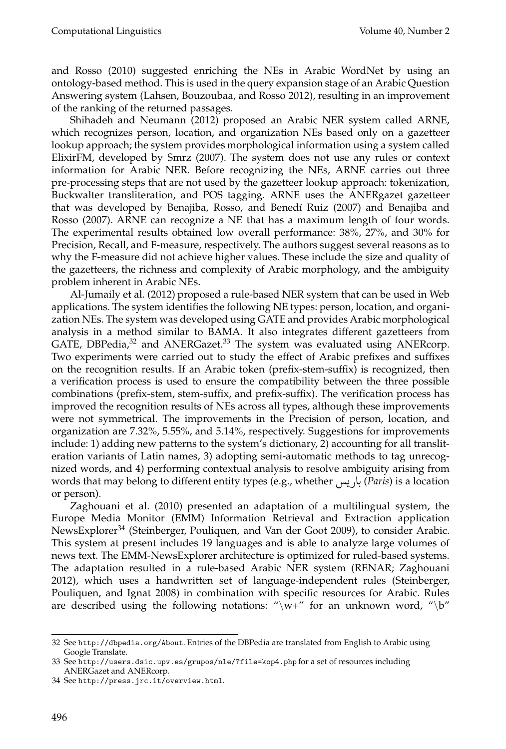and Rosso (2010) suggested enriching the NEs in Arabic WordNet by using an ontology-based method. This is used in the query expansion stage of an Arabic Question Answering system (Lahsen, Bouzoubaa, and Rosso 2012), resulting in an improvement of the ranking of the returned passages.

Shihadeh and Neumann (2012) proposed an Arabic NER system called ARNE, which recognizes person, location, and organization NEs based only on a gazetteer lookup approach; the system provides morphological information using a system called ElixirFM, developed by Smrz (2007). The system does not use any rules or context information for Arabic NER. Before recognizing the NEs, ARNE carries out three pre-processing steps that are not used by the gazetteer lookup approach: tokenization, Buckwalter transliteration, and POS tagging. ARNE uses the ANERgazet gazetteer that was developed by Benajiba, Rosso, and Benedí Ruiz (2007) and Benajiba and Rosso (2007). ARNE can recognize a NE that has a maximum length of four words. The experimental results obtained low overall performance: 38%, 27%, and 30% for Precision, Recall, and F-measure, respectively. The authors suggest several reasons as to why the F-measure did not achieve higher values. These include the size and quality of the gazetteers, the richness and complexity of Arabic morphology, and the ambiguity problem inherent in Arabic NEs.

Al-Jumaily et al. (2012) proposed a rule-based NER system that can be used in Web applications. The system identifies the following NE types: person, location, and organization NEs. The system was developed using GATE and provides Arabic morphological analysis in a method similar to BAMA. It also integrates different gazetteers from GATE, DBPedia,<sup>32</sup> and ANERGazet.<sup>33</sup> The system was evaluated using ANERcorp. Two experiments were carried out to study the effect of Arabic prefixes and suffixes on the recognition results. If an Arabic token (prefix-stem-suffix) is recognized, then a verification process is used to ensure the compatibility between the three possible combinations (prefix-stem, stem-suffix, and prefix-suffix). The verification process has improved the recognition results of NEs across all types, although these improvements were not symmetrical. The improvements in the Precision of person, location, and organization are 7.32%, 5.55%, and 5.14%, respectively. Suggestions for improvements include: 1) adding new patterns to the system's dictionary, 2) accounting for all transliteration variants of Latin names, 3) adopting semi-automatic methods to tag unrecognized words, and 4) performing contextual analysis to resolve ambiguity arising from words that may belong to different entity types (e.g., whether باريس *(Paris)* is a location<br>or person) or person).

Zaghouani et al. (2010) presented an adaptation of a multilingual system, the Europe Media Monitor (EMM) Information Retrieval and Extraction application NewsExplorer<sup>34</sup> (Steinberger, Pouliquen, and Van der Goot 2009), to consider Arabic. This system at present includes 19 languages and is able to analyze large volumes of news text. The EMM-NewsExplorer architecture is optimized for ruled-based systems. The adaptation resulted in a rule-based Arabic NER system (RENAR; Zaghouani 2012), which uses a handwritten set of language-independent rules (Steinberger, Pouliquen, and Ignat 2008) in combination with specific resources for Arabic. Rules are described using the following notations: " $\overline{w}$ +" for an unknown word, " $\overline{b}$ "

<sup>32</sup> See http://dbpedia.org/About. Entries of the DBPedia are translated from English to Arabic using Google Translate.

<sup>33</sup> See http://users.dsic.upv.es/grupos/nle/?file=kop4.php for a set of resources including ANERGazet and ANERcorp.

<sup>34</sup> See http://press.jrc.it/overview.html.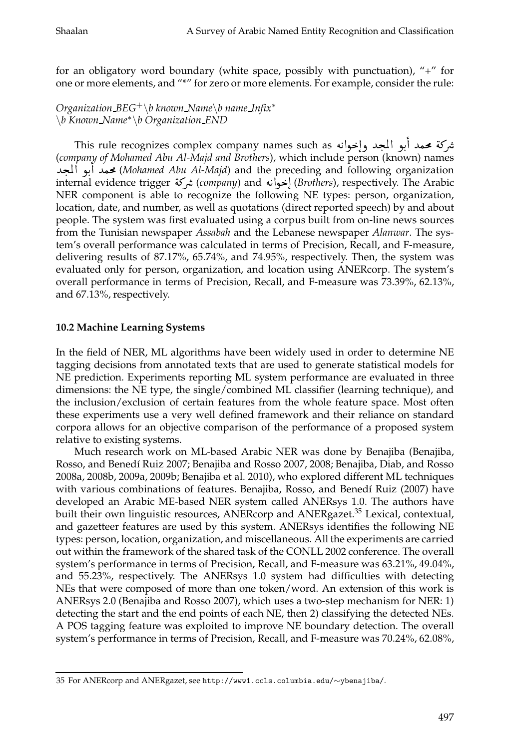for an obligatory word boundary (white space, possibly with punctuation), "+" for one or more elements, and "\*" for zero or more elements. For example, consider the rule:

*Organization BEG*+\*b known Name*\*b name Infix*<sup>∗</sup> \*b Known Name*∗\*b Organization END*

شركة محمد أبو المجد وإخوانه This rule recognizes complex company names such as<br>many of Mohamed Aby Al Maid and Brothers), which include person (known) pames ; ا<br>1 أ .<br>4  $\ddot{v}$ (*company of Mohamed Abu Al-Majd and Brothers*), which include person (known) names محمد آبو ألمجد (*Mohamed Abu Al-Majd*) and the preceding and following organization<br>internal ovidence trigger  $\leq$  (*company*) and til. (*Rrothere*) respectively. The Arabic ׀<br>أ internal evidence trigger é»Qå (*company*) and é K@ñ k@ (*Brothers*), respectively. The Arabic ; ا<br>۲ NER component is able to recognize the following NE types: person, organization, location, date, and number, as well as quotations (direct reported speech) by and about people. The system was first evaluated using a corpus built from on-line news sources from the Tunisian newspaper *Assabah* and the Lebanese newspaper *Alanwar*. The system's overall performance was calculated in terms of Precision, Recall, and F-measure, delivering results of 87.17%, 65.74%, and 74.95%, respectively. Then, the system was evaluated only for person, organization, and location using ANERcorp. The system's overall performance in terms of Precision, Recall, and F-measure was 73.39%, 62.13%, and 67.13%, respectively.

#### **10.2 Machine Learning Systems**

In the field of NER, ML algorithms have been widely used in order to determine NE tagging decisions from annotated texts that are used to generate statistical models for NE prediction. Experiments reporting ML system performance are evaluated in three dimensions: the NE type, the single/combined ML classifier (learning technique), and the inclusion/exclusion of certain features from the whole feature space. Most often these experiments use a very well defined framework and their reliance on standard corpora allows for an objective comparison of the performance of a proposed system relative to existing systems.

Much research work on ML-based Arabic NER was done by Benajiba (Benajiba, Rosso, and Bened´ı Ruiz 2007; Benajiba and Rosso 2007, 2008; Benajiba, Diab, and Rosso 2008a, 2008b, 2009a, 2009b; Benajiba et al. 2010), who explored different ML techniques with various combinations of features. Benajiba, Rosso, and Benedí Ruiz (2007) have developed an Arabic ME-based NER system called ANERsys 1.0. The authors have built their own linguistic resources, ANERcorp and ANERgazet.<sup>35</sup> Lexical, contextual, and gazetteer features are used by this system. ANERsys identifies the following NE types: person, location, organization, and miscellaneous. All the experiments are carried out within the framework of the shared task of the CONLL 2002 conference. The overall system's performance in terms of Precision, Recall, and F-measure was 63.21%, 49.04%, and 55.23%, respectively. The ANERsys 1.0 system had difficulties with detecting NEs that were composed of more than one token/word. An extension of this work is ANERsys 2.0 (Benajiba and Rosso 2007), which uses a two-step mechanism for NER: 1) detecting the start and the end points of each NE, then 2) classifying the detected NEs. A POS tagging feature was exploited to improve NE boundary detection. The overall system's performance in terms of Precision, Recall, and F-measure was 70.24%, 62.08%,

<sup>35</sup> For ANERcorp and ANERgazet, see http://www1.ccls.columbia.edu/∼ybenajiba/.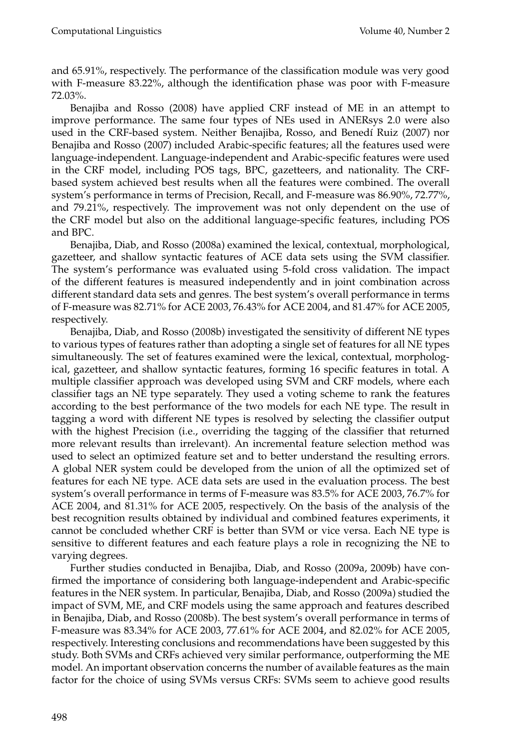and 65.91%, respectively. The performance of the classification module was very good with F-measure 83.22%, although the identification phase was poor with F-measure 72.03%.

Benajiba and Rosso (2008) have applied CRF instead of ME in an attempt to improve performance. The same four types of NEs used in ANERsys 2.0 were also used in the CRF-based system. Neither Benajiba, Rosso, and Benedí Ruiz (2007) nor Benajiba and Rosso (2007) included Arabic-specific features; all the features used were language-independent. Language-independent and Arabic-specific features were used in the CRF model, including POS tags, BPC, gazetteers, and nationality. The CRFbased system achieved best results when all the features were combined. The overall system's performance in terms of Precision, Recall, and F-measure was 86.90%, 72.77%, and 79.21%, respectively. The improvement was not only dependent on the use of the CRF model but also on the additional language-specific features, including POS and BPC.

Benajiba, Diab, and Rosso (2008a) examined the lexical, contextual, morphological, gazetteer, and shallow syntactic features of ACE data sets using the SVM classifier. The system's performance was evaluated using 5-fold cross validation. The impact of the different features is measured independently and in joint combination across different standard data sets and genres. The best system's overall performance in terms of F-measure was 82.71% for ACE 2003, 76.43% for ACE 2004, and 81.47% for ACE 2005, respectively.

Benajiba, Diab, and Rosso (2008b) investigated the sensitivity of different NE types to various types of features rather than adopting a single set of features for all NE types simultaneously. The set of features examined were the lexical, contextual, morphological, gazetteer, and shallow syntactic features, forming 16 specific features in total. A multiple classifier approach was developed using SVM and CRF models, where each classifier tags an NE type separately. They used a voting scheme to rank the features according to the best performance of the two models for each NE type. The result in tagging a word with different NE types is resolved by selecting the classifier output with the highest Precision (i.e., overriding the tagging of the classifier that returned more relevant results than irrelevant). An incremental feature selection method was used to select an optimized feature set and to better understand the resulting errors. A global NER system could be developed from the union of all the optimized set of features for each NE type. ACE data sets are used in the evaluation process. The best system's overall performance in terms of F-measure was 83.5% for ACE 2003, 76.7% for ACE 2004, and 81.31% for ACE 2005, respectively. On the basis of the analysis of the best recognition results obtained by individual and combined features experiments, it cannot be concluded whether CRF is better than SVM or vice versa. Each NE type is sensitive to different features and each feature plays a role in recognizing the NE to varying degrees.

Further studies conducted in Benajiba, Diab, and Rosso (2009a, 2009b) have confirmed the importance of considering both language-independent and Arabic-specific features in the NER system. In particular, Benajiba, Diab, and Rosso (2009a) studied the impact of SVM, ME, and CRF models using the same approach and features described in Benajiba, Diab, and Rosso (2008b). The best system's overall performance in terms of F-measure was 83.34% for ACE 2003, 77.61% for ACE 2004, and 82.02% for ACE 2005, respectively. Interesting conclusions and recommendations have been suggested by this study. Both SVMs and CRFs achieved very similar performance, outperforming the ME model. An important observation concerns the number of available features as the main factor for the choice of using SVMs versus CRFs: SVMs seem to achieve good results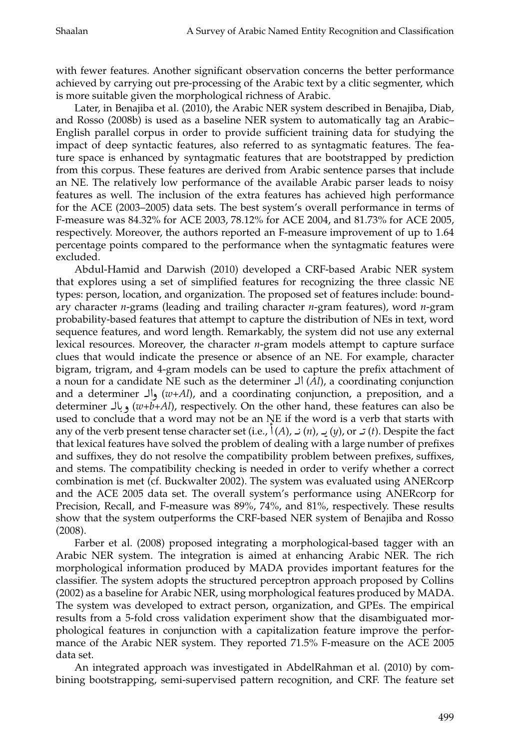with fewer features. Another significant observation concerns the better performance achieved by carrying out pre-processing of the Arabic text by a clitic segmenter, which is more suitable given the morphological richness of Arabic.

Later, in Benajiba et al. (2010), the Arabic NER system described in Benajiba, Diab, and Rosso (2008b) is used as a baseline NER system to automatically tag an Arabic– English parallel corpus in order to provide sufficient training data for studying the impact of deep syntactic features, also referred to as syntagmatic features. The feature space is enhanced by syntagmatic features that are bootstrapped by prediction from this corpus. These features are derived from Arabic sentence parses that include an NE. The relatively low performance of the available Arabic parser leads to noisy features as well. The inclusion of the extra features has achieved high performance for the ACE (2003–2005) data sets. The best system's overall performance in terms of F-measure was 84.32% for ACE 2003, 78.12% for ACE 2004, and 81.73% for ACE 2005, respectively. Moreover, the authors reported an F-measure improvement of up to 1.64 percentage points compared to the performance when the syntagmatic features were excluded.

Abdul-Hamid and Darwish (2010) developed a CRF-based Arabic NER system that explores using a set of simplified features for recognizing the three classic NE types: person, location, and organization. The proposed set of features include: boundary character *n*-grams (leading and trailing character *n*-gram features), word *n*-gram probability-based features that attempt to capture the distribution of NEs in text, word sequence features, and word length. Remarkably, the system did not use any external lexical resources. Moreover, the character *n*-gram models attempt to capture surface clues that would indicate the presence or absence of an NE. For example, character bigram, trigram, and 4-gram models can be used to capture the prefix attachment of a noun for a candidate NE such as the determiner  $\bigcup (A\mathit{l})$ , a coordinating conjunction and a determiner  $\bigcup_{\alpha} (w+A)$ , and a coordinating conjunction, a preposition, and a determiner یاله (*w+b+Al*), respectively. On the other hand, these features can also be<br>word to conclude that a word may not be an NE if the word is a vorb that starts with used to conclude that a word may not be an NE if the word is a verb that starts with any of the verb present tense character set (i.e.,  $\mathcal{I}(A)$ ,  $\Rightarrow$   $(n)$ ,  $\Rightarrow$   $y$ ), or  $\Rightarrow$   $(t)$ . Despite the fact ř ; ر<br>1 that lexical features have solved the problem of dealing with a large number of prefixes ; and suffixes, they do not resolve the compatibility problem between prefixes, suffixes, and stems. The compatibility checking is needed in order to verify whether a correct combination is met (cf. Buckwalter 2002). The system was evaluated using ANERcorp and the ACE 2005 data set. The overall system's performance using ANERcorp for Precision, Recall, and F-measure was 89%, 74%, and 81%, respectively. These results show that the system outperforms the CRF-based NER system of Benajiba and Rosso (2008).

Farber et al. (2008) proposed integrating a morphological-based tagger with an Arabic NER system. The integration is aimed at enhancing Arabic NER. The rich morphological information produced by MADA provides important features for the classifier. The system adopts the structured perceptron approach proposed by Collins (2002) as a baseline for Arabic NER, using morphological features produced by MADA. The system was developed to extract person, organization, and GPEs. The empirical results from a 5-fold cross validation experiment show that the disambiguated morphological features in conjunction with a capitalization feature improve the performance of the Arabic NER system. They reported 71.5% F-measure on the ACE 2005 data set.

An integrated approach was investigated in AbdelRahman et al. (2010) by combining bootstrapping, semi-supervised pattern recognition, and CRF. The feature set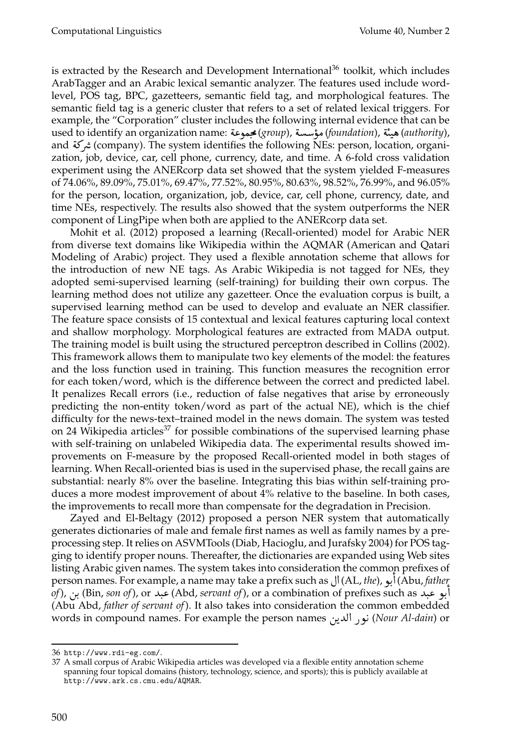is extracted by the Research and Development International<sup>36</sup> toolkit, which includes ArabTagger and an Arabic lexical semantic analyzer. The features used include wordlevel, POS tag, BPC, gazetteers, semantic field tag, and morphological features. The semantic field tag is a generic cluster that refers to a set of related lexical triggers. For example, the "Corporation" cluster includes the following internal evidence that can be example, are "corporation" cluster includes the following internal evidence that can be<br>(*group*), المحمومة (*group*), تمومات (*foundation*), هيئة (authority), and  $\mathcal{F}^{\epsilon}$  (company). The eveterm identifies the follow ۔<br>م  $\ddot{\cdot}$ and and the company). The system identifies the following NEs: person, location, organi-<br>شرکتهٔ (company). The system identifies the following NEs: person, location, organization, job, device, car, cell phone, currency, date, and time. A 6-fold cross validation experiment using the ANERcorp data set showed that the system yielded F-measures of 74.06%, 89.09%, 75.01%, 69.47%, 77.52%, 80.95%, 80.63%, 98.52%, 76.99%, and 96.05% for the person, location, organization, job, device, car, cell phone, currency, date, and time NEs, respectively. The results also showed that the system outperforms the NER component of LingPipe when both are applied to the ANERcorp data set.

Mohit et al. (2012) proposed a learning (Recall-oriented) model for Arabic NER from diverse text domains like Wikipedia within the AQMAR (American and Qatari Modeling of Arabic) project. They used a flexible annotation scheme that allows for the introduction of new NE tags. As Arabic Wikipedia is not tagged for NEs, they adopted semi-supervised learning (self-training) for building their own corpus. The learning method does not utilize any gazetteer. Once the evaluation corpus is built, a supervised learning method can be used to develop and evaluate an NER classifier. The feature space consists of 15 contextual and lexical features capturing local context and shallow morphology. Morphological features are extracted from MADA output. The training model is built using the structured perceptron described in Collins (2002). This framework allows them to manipulate two key elements of the model: the features and the loss function used in training. This function measures the recognition error for each token/word, which is the difference between the correct and predicted label. It penalizes Recall errors (i.e., reduction of false negatives that arise by erroneously predicting the non-entity token/word as part of the actual NE), which is the chief difficulty for the news-text–trained model in the news domain. The system was tested on 24 Wikipedia articles<sup>37</sup> for possible combinations of the supervised learning phase with self-training on unlabeled Wikipedia data. The experimental results showed improvements on F-measure by the proposed Recall-oriented model in both stages of learning. When Recall-oriented bias is used in the supervised phase, the recall gains are substantial: nearly 8% over the baseline. Integrating this bias within self-training produces a more modest improvement of about 4% relative to the baseline. In both cases, the improvements to recall more than compensate for the degradation in Precision.

Zayed and El-Beltagy (2012) proposed a person NER system that automatically generates dictionaries of male and female first names as well as family names by a preprocessing step. It relies on ASVMTools (Diab, Hacioglu, and Jurafsky 2004) for POS tagging to identify proper nouns. Thereafter, the dictionaries are expanded using Web sites listing Arabic given names. The system takes into consideration the common prefixes of person names. For example, a name may take a prefix such as أبو (AL, *the*) ال<br>d (Abu, *father*), can of ), or k a (Abd, *cervent* of ), or a combination of profixes such as , k a ׀<br>أ *of*), <sub>ق</sub>در (Bin, *son of*), or معبد (Abd, *servant of*), or a combination of prefixes such as بو عبد (Aby Abd, *father of carvant of*). It also takes into consideration the common embodded . م<br>ا |<br>| (Abu Abd, *father of servant of*). It also takes into consideration the common embedded words in compound names. For example the person names áK YË@ Pñ K (*Nour Al-dain*) or <u>ر</u>

<sup>36</sup> http://www.rdi-eg.com/.

<sup>37</sup> A small corpus of Arabic Wikipedia articles was developed via a flexible entity annotation scheme spanning four topical domains (history, technology, science, and sports); this is publicly available at http://www.ark.cs.cmu.edu/AQMAR.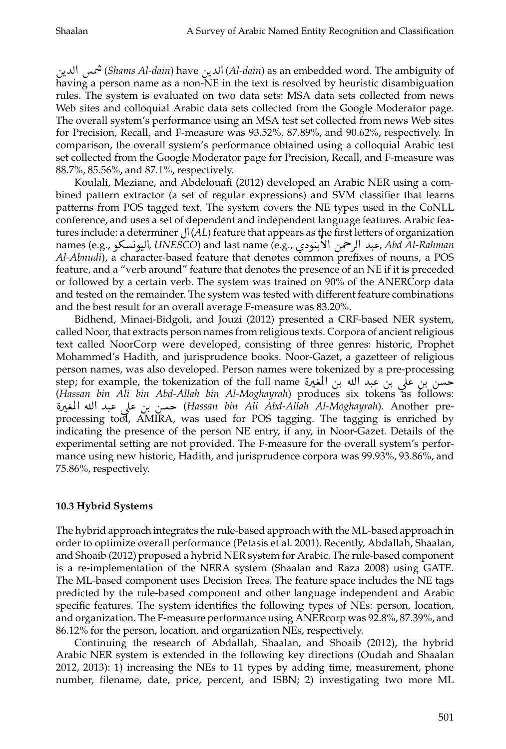للدين *(Shams Al-dain*) have أكدين *(Al-dain*) as an embedded word. The ambiguity of <u>.</u><br>^ ÷  $\ddot{ }$ <u>ر</u><br>۱ having a person name as a non-NE in the text is resolved by heuristic disambiguation rules. The system is evaluated on two data sets: MSA data sets collected from news Web sites and colloquial Arabic data sets collected from the Google Moderator page. The overall system's performance using an MSA test set collected from news Web sites for Precision, Recall, and F-measure was 93.52%, 87.89%, and 90.62%, respectively. In comparison, the overall system's performance obtained using a colloquial Arabic test set collected from the Google Moderator page for Precision, Recall, and F-measure was 88.7%, 85.56%, and 87.1%, respectively.

Koulali, Meziane, and Abdelouafi (2012) developed an Arabic NER using a combined pattern extractor (a set of regular expressions) and SVM classifier that learns patterns from POS tagged text. The system covers the NE types used in the CoNLL conference, and uses a set of dependent and independent language features. Arabic features include: a determiner  $J(AL)$  feature that appears as the first letters of organization names (e.g., یونسکو<br>یونسکو ,al\_4hnudi المجمن الأبنودي, *Abd Al-Rahman (e.g., عبد الرحمن الأبنودي, Abd Al-Rahman*<br>Inter-based feature that denotes common prefixes of nouns, a POS *Al-Abnudi*), a character-based feature that denotes common prefixes of nouns, a POS : . ון<br>י feature, and a "verb around" feature that denotes the presence of an NE if it is preceded or followed by a certain verb. The system was trained on 90% of the ANERCorp data and tested on the remainder. The system was tested with different feature combinations and the best result for an overall average F-measure was 83.20%.

Bidhend, Minaei-Bidgoli, and Jouzi (2012) presented a CRF-based NER system, called Noor, that extracts person names from religious texts. Corpora of ancient religious text called NoorCorp were developed, consisting of three genres: historic, Prophet Mohammed's Hadith, and jurisprudence books. Noor-Gazet, a gazetteer of religious person names, was also developed. Person names were tokenized by a pre-processing مسن بن علي بن عبد الله بن المغيرة step; for example, the tokenization of the full name تحسن بن علي بن عبد الله بن المغيرة<br>Hassan *bin Ali bin Abd-Allah bin Al-Moghayrah*) produces six tokens as follows: è  $\ddot{\phantom{0}}$ ; .  $\frac{1}{2}$ ä è حسن بن علي عبد الله المغيرi (*Hassan bin Ali Abd-Allah Al-Moghayrah*). Another pre-<br>precessing tool AMIPA was used for POS tagging. The tagging is enrished by ا.<br>. processing tool, AMIRA, was used for POS tagging. The tagging is enriched by ;  $\frac{1}{2}$ indicating the presence of the person NE entry, if any, in Noor-Gazet. Details of the experimental setting are not provided. The F-measure for the overall system's performance using new historic, Hadith, and jurisprudence corpora was 99.93%, 93.86%, and 75.86%, respectively.

#### **10.3 Hybrid Systems**

The hybrid approach integrates the rule-based approach with the ML-based approach in order to optimize overall performance (Petasis et al. 2001). Recently, Abdallah, Shaalan, and Shoaib (2012) proposed a hybrid NER system for Arabic. The rule-based component is a re-implementation of the NERA system (Shaalan and Raza 2008) using GATE. The ML-based component uses Decision Trees. The feature space includes the NE tags predicted by the rule-based component and other language independent and Arabic specific features. The system identifies the following types of NEs: person, location, and organization. The F-measure performance using ANERcorp was 92.8%, 87.39%, and 86.12% for the person, location, and organization NEs, respectively.

Continuing the research of Abdallah, Shaalan, and Shoaib (2012), the hybrid Arabic NER system is extended in the following key directions (Oudah and Shaalan 2012, 2013): 1) increasing the NEs to 11 types by adding time, measurement, phone number, filename, date, price, percent, and ISBN; 2) investigating two more ML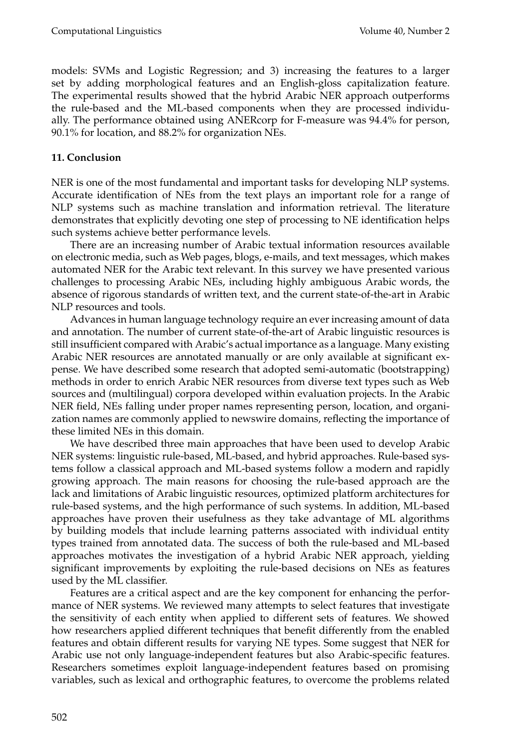models: SVMs and Logistic Regression; and 3) increasing the features to a larger set by adding morphological features and an English-gloss capitalization feature. The experimental results showed that the hybrid Arabic NER approach outperforms the rule-based and the ML-based components when they are processed individually. The performance obtained using ANERcorp for F-measure was 94.4% for person, 90.1% for location, and 88.2% for organization NEs.

#### **11. Conclusion**

NER is one of the most fundamental and important tasks for developing NLP systems. Accurate identification of NEs from the text plays an important role for a range of NLP systems such as machine translation and information retrieval. The literature demonstrates that explicitly devoting one step of processing to NE identification helps such systems achieve better performance levels.

There are an increasing number of Arabic textual information resources available on electronic media, such as Web pages, blogs, e-mails, and text messages, which makes automated NER for the Arabic text relevant. In this survey we have presented various challenges to processing Arabic NEs, including highly ambiguous Arabic words, the absence of rigorous standards of written text, and the current state-of-the-art in Arabic NLP resources and tools.

Advances in human language technology require an ever increasing amount of data and annotation. The number of current state-of-the-art of Arabic linguistic resources is still insufficient compared with Arabic's actual importance as a language. Many existing Arabic NER resources are annotated manually or are only available at significant expense. We have described some research that adopted semi-automatic (bootstrapping) methods in order to enrich Arabic NER resources from diverse text types such as Web sources and (multilingual) corpora developed within evaluation projects. In the Arabic NER field, NEs falling under proper names representing person, location, and organization names are commonly applied to newswire domains, reflecting the importance of these limited NEs in this domain.

We have described three main approaches that have been used to develop Arabic NER systems: linguistic rule-based, ML-based, and hybrid approaches. Rule-based systems follow a classical approach and ML-based systems follow a modern and rapidly growing approach. The main reasons for choosing the rule-based approach are the lack and limitations of Arabic linguistic resources, optimized platform architectures for rule-based systems, and the high performance of such systems. In addition, ML-based approaches have proven their usefulness as they take advantage of ML algorithms by building models that include learning patterns associated with individual entity types trained from annotated data. The success of both the rule-based and ML-based approaches motivates the investigation of a hybrid Arabic NER approach, yielding significant improvements by exploiting the rule-based decisions on NEs as features used by the ML classifier.

Features are a critical aspect and are the key component for enhancing the performance of NER systems. We reviewed many attempts to select features that investigate the sensitivity of each entity when applied to different sets of features. We showed how researchers applied different techniques that benefit differently from the enabled features and obtain different results for varying NE types. Some suggest that NER for Arabic use not only language-independent features but also Arabic-specific features. Researchers sometimes exploit language-independent features based on promising variables, such as lexical and orthographic features, to overcome the problems related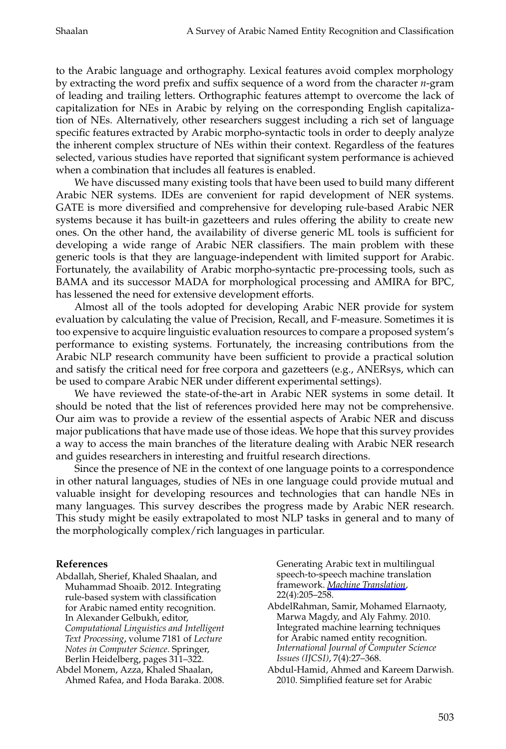to the Arabic language and orthography. Lexical features avoid complex morphology by extracting the word prefix and suffix sequence of a word from the character *n*-gram of leading and trailing letters. Orthographic features attempt to overcome the lack of capitalization for NEs in Arabic by relying on the corresponding English capitalization of NEs. Alternatively, other researchers suggest including a rich set of language specific features extracted by Arabic morpho-syntactic tools in order to deeply analyze the inherent complex structure of NEs within their context. Regardless of the features selected, various studies have reported that significant system performance is achieved when a combination that includes all features is enabled.

We have discussed many existing tools that have been used to build many different Arabic NER systems. IDEs are convenient for rapid development of NER systems. GATE is more diversified and comprehensive for developing rule-based Arabic NER systems because it has built-in gazetteers and rules offering the ability to create new ones. On the other hand, the availability of diverse generic ML tools is sufficient for developing a wide range of Arabic NER classifiers. The main problem with these generic tools is that they are language-independent with limited support for Arabic. Fortunately, the availability of Arabic morpho-syntactic pre-processing tools, such as BAMA and its successor MADA for morphological processing and AMIRA for BPC, has lessened the need for extensive development efforts.

Almost all of the tools adopted for developing Arabic NER provide for system evaluation by calculating the value of Precision, Recall, and F-measure. Sometimes it is too expensive to acquire linguistic evaluation resources to compare a proposed system's performance to existing systems. Fortunately, the increasing contributions from the Arabic NLP research community have been sufficient to provide a practical solution and satisfy the critical need for free corpora and gazetteers (e.g., ANERsys, which can be used to compare Arabic NER under different experimental settings).

We have reviewed the state-of-the-art in Arabic NER systems in some detail. It should be noted that the list of references provided here may not be comprehensive. Our aim was to provide a review of the essential aspects of Arabic NER and discuss major publications that have made use of those ideas. We hope that this survey provides a way to access the main branches of the literature dealing with Arabic NER research and guides researchers in interesting and fruitful research directions.

Since the presence of NE in the context of one language points to a correspondence in other natural languages, studies of NEs in one language could provide mutual and valuable insight for developing resources and technologies that can handle NEs in many languages. This survey describes the progress made by Arabic NER research. This study might be easily extrapolated to most NLP tasks in general and to many of the morphologically complex/rich languages in particular.

#### **References**

- Abdallah, Sherief, Khaled Shaalan, and Muhammad Shoaib. 2012. Integrating rule-based system with classification for Arabic named entity recognition. In Alexander Gelbukh, editor, *Computational Linguistics and Intelligent Text Processing*, volume 7181 of *Lecture Notes in Computer Science*. Springer, Berlin Heidelberg, pages 311–322.
- Abdel Monem, Azza, Khaled Shaalan, Ahmed Rafea, and Hoda Baraka. 2008.

Generating Arabic text in multilingual speech-to-speech machine translation framework. *[Machine Translation](http://www.mitpressjournals.org/action/showLinks?crossref=10.1007%2Fs10590-009-9054-9)*, 22(4):205–258.

- AbdelRahman, Samir, Mohamed Elarnaoty, Marwa Magdy, and Aly Fahmy. 2010. Integrated machine learning techniques for Arabic named entity recognition. *International Journal of Computer Science Issues (IJCSI)*, 7(4):27–368.
- Abdul-Hamid, Ahmed and Kareem Darwish. 2010. Simplified feature set for Arabic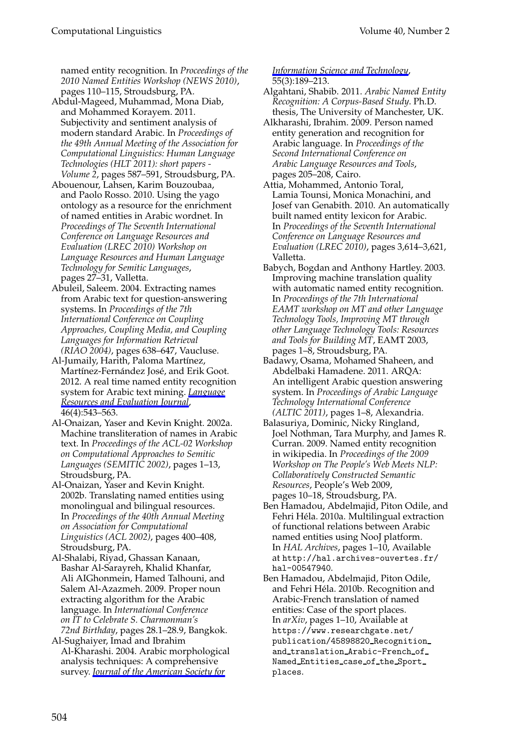named entity recognition. In *Proceedings of the 2010 Named Entities Workshop (NEWS 2010)*, pages 110–115, Stroudsburg, PA.

- Abdul-Mageed, Muhammad, Mona Diab, and Mohammed Korayem. 2011. Subjectivity and sentiment analysis of modern standard Arabic. In *Proceedings of the 49th Annual Meeting of the Association for Computational Linguistics: Human Language Technologies (HLT 2011): short papers - Volume 2*, pages 587–591, Stroudsburg, PA.
- Abouenour, Lahsen, Karim Bouzoubaa, and Paolo Rosso. 2010. Using the yago ontology as a resource for the enrichment of named entities in Arabic wordnet. In *Proceedings of The Seventh International Conference on Language Resources and Evaluation (LREC 2010) Workshop on Language Resources and Human Language Technology for Semitic Languages*, pages 27–31, Valletta.
- Abuleil, Saleem. 2004. Extracting names from Arabic text for question-answering systems. In *Proceedings of the 7th International Conference on Coupling Approaches, Coupling Media, and Coupling Languages for Information Retrieval (RIAO 2004)*, pages 638–647, Vaucluse.
- Al-Jumaily, Harith, Paloma Martínez, Martínez-Fernández José, and Erik Goot. 2012. A real time named entity recognition system for Arabic text mining. *[Language](http://www.mitpressjournals.org/action/showLinks?crossref=10.1007%2Fs10579-011-9146-z) [Resources and Evaluation Journal](http://www.mitpressjournals.org/action/showLinks?crossref=10.1007%2Fs10579-011-9146-z)*, 46(4):543–563.
- Al-Onaizan, Yaser and Kevin Knight. 2002a. Machine transliteration of names in Arabic text. In *Proceedings of the ACL-02 Workshop on Computational Approaches to Semitic Languages (SEMITIC 2002)*, pages 1–13, Stroudsburg, PA.
- Al-Onaizan, Yaser and Kevin Knight. 2002b. Translating named entities using monolingual and bilingual resources. In *Proceedings of the 40th Annual Meeting on Association for Computational Linguistics (ACL 2002)*, pages 400–408, Stroudsburg, PA.
- Al-Shalabi, Riyad, Ghassan Kanaan, Bashar Al-Sarayreh, Khalid Khanfar, Ali AIGhonmein, Hamed Talhouni, and Salem Al-Azazmeh. 2009. Proper noun extracting algorithm for the Arabic language. In *International Conference on IT to Celebrate S. Charmonman's 72nd Birthday*, pages 28.1–28.9, Bangkok.
- Al-Sughaiyer, Imad and Ibrahim Al-Kharashi. 2004. Arabic morphological analysis techniques: A comprehensive survey. *[Journal of the American Society for](http://www.mitpressjournals.org/action/showLinks?crossref=10.1002%2Fasi.10368)*

*[Information Science and Technology](http://www.mitpressjournals.org/action/showLinks?crossref=10.1002%2Fasi.10368)*, 55(3):189–213.

- Algahtani, Shabib. 2011. *Arabic Named Entity Recognition: A Corpus-Based Study*. Ph.D. thesis, The University of Manchester, UK.
- Alkharashi, Ibrahim. 2009. Person named entity generation and recognition for Arabic language. In *Proceedings of the Second International Conference on Arabic Language Resources and Tools*, pages 205–208, Cairo.
- Attia, Mohammed, Antonio Toral, Lamia Tounsi, Monica Monachini, and Josef van Genabith. 2010. An automatically built named entity lexicon for Arabic. In *Proceedings of the Seventh International Conference on Language Resources and Evaluation (LREC 2010)*, pages 3,614–3,621, Valletta.
- Babych, Bogdan and Anthony Hartley. 2003. Improving machine translation quality with automatic named entity recognition. In *Proceedings of the 7th International EAMT workshop on MT and other Language Technology Tools, Improving MT through other Language Technology Tools: Resources and Tools for Building MT*, EAMT 2003, pages 1–8, Stroudsburg, PA.
- Badawy, Osama, Mohamed Shaheen, and Abdelbaki Hamadene. 2011. ARQA: An intelligent Arabic question answering system. In *Proceedings of Arabic Language Technology International Conference (ALTIC 2011)*, pages 1–8, Alexandria.
- Balasuriya, Dominic, Nicky Ringland, Joel Nothman, Tara Murphy, and James R. Curran. 2009. Named entity recognition in wikipedia. In *Proceedings of the 2009 Workshop on The People's Web Meets NLP: Collaboratively Constructed Semantic Resources*, People's Web 2009, pages 10–18, Stroudsburg, PA.
- Ben Hamadou, Abdelmajid, Piton Odile, and Fehri Héla. 2010a. Multilingual extraction of functional relations between Arabic named entities using NooJ platform. In *HAL Archives*, pages 1–10, Available at http://hal.archives-ouvertes.fr/ hal-00547940.
- Ben Hamadou, Abdelmajid, Piton Odile, and Fehri Héla. 2010b. Recognition and Arabic-French translation of named entities: Case of the sport places. In *arXiv*, pages 1–10, Available at https://www.researchgate.net/ publication/45898820 Recognition and translation Arabic-French of Named Entities case of the Sport places.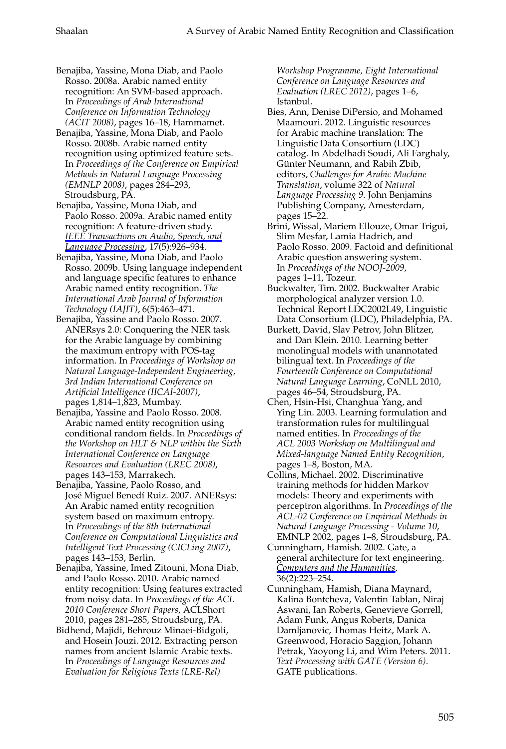- Benajiba, Yassine, Mona Diab, and Paolo Rosso. 2008a. Arabic named entity recognition: An SVM-based approach. In *Proceedings of Arab International Conference on Information Technology (ACIT 2008)*, pages 16–18, Hammamet.
- Benajiba, Yassine, Mona Diab, and Paolo Rosso. 2008b. Arabic named entity recognition using optimized feature sets. In *Proceedings of the Conference on Empirical Methods in Natural Language Processing (EMNLP 2008)*, pages 284–293, Stroudsburg, PA.
- Benajiba, Yassine, Mona Diab, and Paolo Rosso. 2009a. Arabic named entity recognition: A feature-driven study. *[IEEE Transactions on Audio, Speech, and](http://www.mitpressjournals.org/action/showLinks?crossref=10.1109%2FTASL.2009.2019927) [Language Processing](http://www.mitpressjournals.org/action/showLinks?crossref=10.1109%2FTASL.2009.2019927)*, 17(5):926–934.
- Benajiba, Yassine, Mona Diab, and Paolo Rosso. 2009b. Using language independent and language specific features to enhance Arabic named entity recognition. *The International Arab Journal of Information Technology (IAJIT)*, 6(5):463–471.
- Benajiba, Yassine and Paolo Rosso. 2007. ANERsys 2.0: Conquering the NER task for the Arabic language by combining the maximum entropy with POS-tag information. In *Proceedings of Workshop on Natural Language-Independent Engineering, 3rd Indian International Conference on Artificial Intelligence (IICAI-2007)*, pages 1,814–1,823, Mumbay.
- Benajiba, Yassine and Paolo Rosso. 2008. Arabic named entity recognition using conditional random fields. In *Proceedings of the Workshop on HLT & NLP within the Sixth International Conference on Language Resources and Evaluation (LREC 2008)*, pages 143–153, Marrakech.
- Benajiba, Yassine, Paolo Rosso, and José Miguel Benedí Ruiz. 2007. ANERsys: An Arabic named entity recognition system based on maximum entropy. In *Proceedings of the 8th International Conference on Computational Linguistics and Intelligent Text Processing (CICLing 2007)*, pages 143–153, Berlin.
- Benajiba, Yassine, Imed Zitouni, Mona Diab, and Paolo Rosso. 2010. Arabic named entity recognition: Using features extracted from noisy data. In *Proceedings of the ACL 2010 Conference Short Papers*, ACLShort 2010, pages 281–285, Stroudsburg, PA.
- Bidhend, Majidi, Behrouz Minaei-Bidgoli, and Hosein Jouzi. 2012. Extracting person names from ancient Islamic Arabic texts. In *Proceedings of Language Resources and Evaluation for Religious Texts (LRE-Rel)*

*Workshop Programme, Eight International Conference on Language Resources and Evaluation (LREC 2012)*, pages 1–6, Istanbul.

- Bies, Ann, Denise DiPersio, and Mohamed Maamouri. 2012. Linguistic resources for Arabic machine translation: The Linguistic Data Consortium (LDC) catalog. In Abdelhadi Soudi, Ali Farghaly, Günter Neumann, and Rabih Zbib, editors, *Challenges for Arabic Machine Translation*, volume 322 of *Natural Language Processing 9*. John Benjamins Publishing Company, Amesterdam, pages 15–22.
- Brini, Wissal, Mariem Ellouze, Omar Trigui, Slim Mesfar, Lamia Hadrich, and Paolo Rosso. 2009. Factoid and definitional Arabic question answering system. In *Proceedings of the NOOJ-2009*, pages 1–11, Tozeur.
- Buckwalter, Tim. 2002. Buckwalter Arabic morphological analyzer version 1.0. Technical Report LDC2002L49, Linguistic Data Consortium (LDC), Philadelphia, PA.
- Burkett, David, Slav Petrov, John Blitzer, and Dan Klein. 2010. Learning better monolingual models with unannotated bilingual text. In *Proceedings of the Fourteenth Conference on Computational Natural Language Learning*, CoNLL 2010, pages 46–54, Stroudsburg, PA.
- Chen, Hsin-Hsi, Changhua Yang, and Ying Lin. 2003. Learning formulation and transformation rules for multilingual named entities. In *Proceedings of the ACL 2003 Workshop on Multilingual and Mixed-language Named Entity Recognition*, pages 1–8, Boston, MA.
- Collins, Michael. 2002. Discriminative training methods for hidden Markov models: Theory and experiments with perceptron algorithms. In *Proceedings of the ACL-02 Conference on Empirical Methods in Natural Language Processing - Volume 10*, EMNLP 2002, pages 1–8, Stroudsburg, PA.
- Cunningham, Hamish. 2002. Gate, a general architecture for text engineering. *[Computers and the Humanities](http://www.mitpressjournals.org/action/showLinks?crossref=10.1023%2FA%3A1014348124664)*, 36(2):223–254.
- Cunningham, Hamish, Diana Maynard, Kalina Bontcheva, Valentin Tablan, Niraj Aswani, Ian Roberts, Genevieve Gorrell, Adam Funk, Angus Roberts, Danica Damljanovic, Thomas Heitz, Mark A. Greenwood, Horacio Saggion, Johann Petrak, Yaoyong Li, and Wim Peters. 2011. *Text Processing with GATE (Version 6)*. GATE publications.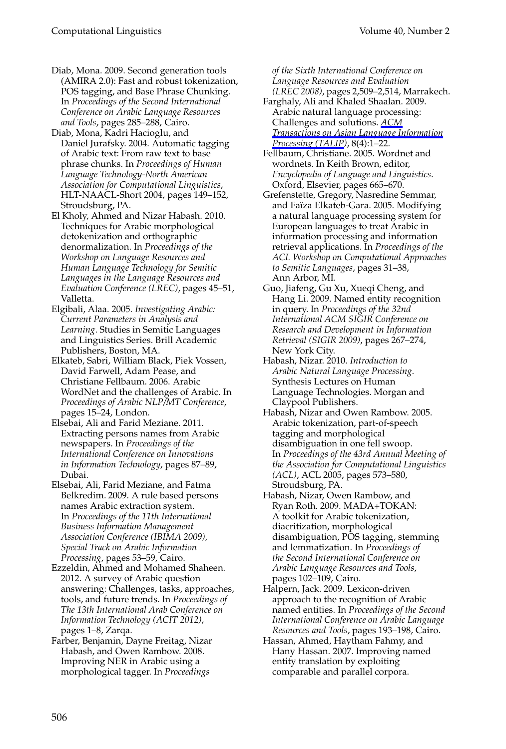- Diab, Mona. 2009. Second generation tools (AMIRA 2.0): Fast and robust tokenization, POS tagging, and Base Phrase Chunking. In *Proceedings of the Second International Conference on Arabic Language Resources and Tools*, pages 285–288, Cairo.
- Diab, Mona, Kadri Hacioglu, and Daniel Jurafsky. 2004. Automatic tagging of Arabic text: From raw text to base phrase chunks. In *Proceedings of Human Language Technology-North American Association for Computational Linguistics*, HLT-NAACL-Short 2004, pages 149–152, Stroudsburg, PA.
- El Kholy, Ahmed and Nizar Habash. 2010. Techniques for Arabic morphological detokenization and orthographic denormalization. In *Proceedings of the Workshop on Language Resources and Human Language Technology for Semitic Languages in the Language Resources and Evaluation Conference (LREC)*, pages 45–51, Valletta.
- Elgibali, Alaa. 2005. *Investigating Arabic: Current Parameters in Analysis and Learning*. Studies in Semitic Languages and Linguistics Series. Brill Academic Publishers, Boston, MA.
- Elkateb, Sabri, William Black, Piek Vossen, David Farwell, Adam Pease, and Christiane Fellbaum. 2006. Arabic WordNet and the challenges of Arabic. In *Proceedings of Arabic NLP/MT Conference*, pages 15–24, London.
- Elsebai, Ali and Farid Meziane. 2011. Extracting persons names from Arabic newspapers. In *Proceedings of the International Conference on Innovations in Information Technology*, pages 87–89, Dubai.

Elsebai, Ali, Farid Meziane, and Fatma Belkredim. 2009. A rule based persons names Arabic extraction system. In *Proceedings of the 11th International Business Information Management Association Conference (IBIMA 2009), Special Track on Arabic Information Processing*, pages 53–59, Cairo.

- Ezzeldin, Ahmed and Mohamed Shaheen. 2012. A survey of Arabic question answering: Challenges, tasks, approaches, tools, and future trends. In *Proceedings of The 13th International Arab Conference on Information Technology (ACIT 2012)*, pages 1–8, Zarqa.
- Farber, Benjamin, Dayne Freitag, Nizar Habash, and Owen Rambow. 2008. Improving NER in Arabic using a morphological tagger. In *Proceedings*

*of the Sixth International Conference on Language Resources and Evaluation (LREC 2008)*, pages 2,509–2,514, Marrakech.

- Farghaly, Ali and Khaled Shaalan. 2009. Arabic natural language processing: Challenges and solutions. *[ACM](http://www.mitpressjournals.org/action/showLinks?crossref=10.1145%2F1644879.1644881) [Transactions on Asian Language Information](http://www.mitpressjournals.org/action/showLinks?crossref=10.1145%2F1644879.1644881) [Processing \(TALIP\)](http://www.mitpressjournals.org/action/showLinks?crossref=10.1145%2F1644879.1644881)*, 8(4):1–22.
- Fellbaum, Christiane. 2005. Wordnet and wordnets. In Keith Brown, editor, *Encyclopedia of Language and Linguistics*. Oxford, Elsevier, pages 665–670.
- Grefenstette, Gregory, Nasredine Semmar, and Faïza Elkateb-Gara. 2005. Modifying a natural language processing system for European languages to treat Arabic in information processing and information retrieval applications. In *Proceedings of the ACL Workshop on Computational Approaches to Semitic Languages*, pages 31–38, Ann Arbor, MI.
- Guo, Jiafeng, Gu Xu, Xueqi Cheng, and Hang Li. 2009. Named entity recognition in query. In *Proceedings of the 32nd International ACM SIGIR Conference on Research and Development in Information Retrieval (SIGIR 2009)*, pages 267–274, New York City.
- Habash, Nizar. 2010. *Introduction to Arabic Natural Language Processing*. Synthesis Lectures on Human Language Technologies. Morgan and Claypool Publishers.
- Habash, Nizar and Owen Rambow. 2005. Arabic tokenization, part-of-speech tagging and morphological disambiguation in one fell swoop. In *Proceedings of the 43rd Annual Meeting of the Association for Computational Linguistics (ACL)*, ACL 2005, pages 573–580, Stroudsburg, PA.
- Habash, Nizar, Owen Rambow, and Ryan Roth. 2009. MADA+TOKAN: A toolkit for Arabic tokenization, diacritization, morphological disambiguation, POS tagging, stemming and lemmatization. In *Proceedings of the Second International Conference on Arabic Language Resources and Tools*, pages 102–109, Cairo.
- Halpern, Jack. 2009. Lexicon-driven approach to the recognition of Arabic named entities. In *Proceedings of the Second International Conference on Arabic Language Resources and Tools*, pages 193–198, Cairo.
- Hassan, Ahmed, Haytham Fahmy, and Hany Hassan. 2007. Improving named entity translation by exploiting comparable and parallel corpora.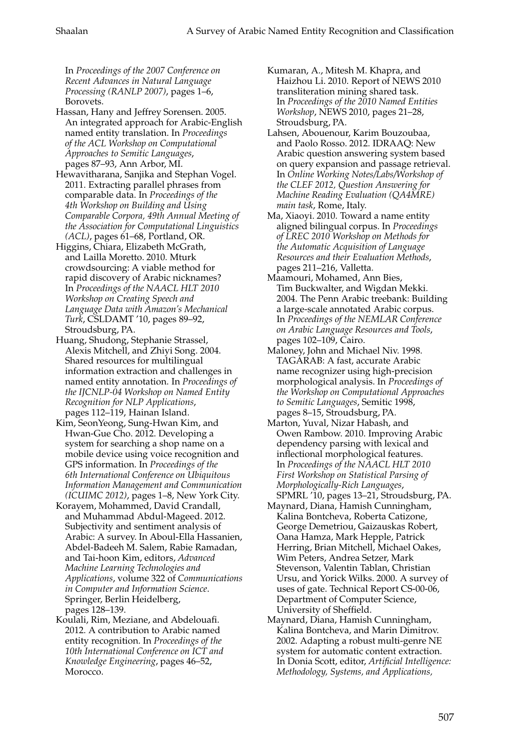In *Proceedings of the 2007 Conference on Recent Advances in Natural Language Processing (RANLP 2007)*, pages 1–6, Borovets.

- Hassan, Hany and Jeffrey Sorensen. 2005. An integrated approach for Arabic-English named entity translation. In *Proceedings of the ACL Workshop on Computational Approaches to Semitic Languages*, pages 87–93, Ann Arbor, MI.
- Hewavitharana, Sanjika and Stephan Vogel. 2011. Extracting parallel phrases from comparable data. In *Proceedings of the 4th Workshop on Building and Using Comparable Corpora, 49th Annual Meeting of the Association for Computational Linguistics (ACL)*, pages 61–68, Portland, OR.
- Higgins, Chiara, Elizabeth McGrath, and Lailla Moretto. 2010. Mturk crowdsourcing: A viable method for rapid discovery of Arabic nicknames? In *Proceedings of the NAACL HLT 2010 Workshop on Creating Speech and Language Data with Amazon's Mechanical Turk*, CSLDAMT '10, pages 89–92, Stroudsburg, PA.
- Huang, Shudong, Stephanie Strassel, Alexis Mitchell, and Zhiyi Song. 2004. Shared resources for multilingual information extraction and challenges in named entity annotation. In *Proceedings of the IJCNLP-04 Workshop on Named Entity Recognition for NLP Applications*, pages 112–119, Hainan Island.
- Kim, SeonYeong, Sung-Hwan Kim, and Hwan-Gue Cho. 2012. Developing a system for searching a shop name on a mobile device using voice recognition and GPS information. In *Proceedings of the 6th International Conference on Ubiquitous Information Management and Communication (ICUIMC 2012)*, pages 1–8, New York City.
- Korayem, Mohammed, David Crandall, and Muhammad Abdul-Mageed. 2012. Subjectivity and sentiment analysis of Arabic: A survey. In Aboul-Ella Hassanien, Abdel-Badeeh M. Salem, Rabie Ramadan, and Tai-hoon Kim, editors, *Advanced Machine Learning Technologies and Applications*, volume 322 of *Communications in Computer and Information Science*. Springer, Berlin Heidelberg, pages 128–139.
- Koulali, Rim, Meziane, and Abdelouafi. 2012. A contribution to Arabic named entity recognition. In *Proceedings of the 10th International Conference on ICT and Knowledge Engineering*, pages 46–52, Morocco.
- Kumaran, A., Mitesh M. Khapra, and Haizhou Li. 2010. Report of NEWS 2010 transliteration mining shared task. In *Proceedings of the 2010 Named Entities Workshop*, NEWS 2010, pages 21–28, Stroudsburg, PA.
- Lahsen, Abouenour, Karim Bouzoubaa, and Paolo Rosso. 2012. IDRAAQ: New Arabic question answering system based on query expansion and passage retrieval. In *Online Working Notes/Labs/Workshop of the CLEF 2012, Question Answering for Machine Reading Evaluation (QA4MRE) main task*, Rome, Italy.
- Ma, Xiaoyi. 2010. Toward a name entity aligned bilingual corpus. In *Proceedings of LREC 2010 Workshop on Methods for the Automatic Acquisition of Language Resources and their Evaluation Methods*, pages 211–216, Valletta.
- Maamouri, Mohamed, Ann Bies, Tim Buckwalter, and Wigdan Mekki. 2004. The Penn Arabic treebank: Building a large-scale annotated Arabic corpus. In *Proceedings of the NEMLAR Conference on Arabic Language Resources and Tools*, pages 102–109, Cairo.
- Maloney, John and Michael Niv. 1998. TAGARAB: A fast, accurate Arabic name recognizer using high-precision morphological analysis. In *Proceedings of the Workshop on Computational Approaches to Semitic Languages*, Semitic 1998, pages 8–15, Stroudsburg, PA.
- Marton, Yuval, Nizar Habash, and Owen Rambow. 2010. Improving Arabic dependency parsing with lexical and inflectional morphological features. In *Proceedings of the NAACL HLT 2010 First Workshop on Statistical Parsing of Morphologically-Rich Languages*, SPMRL '10, pages 13–21, Stroudsburg, PA.
- Maynard, Diana, Hamish Cunningham, Kalina Bontcheva, Roberta Catizone, George Demetriou, Gaizauskas Robert, Oana Hamza, Mark Hepple, Patrick Herring, Brian Mitchell, Michael Oakes, Wim Peters, Andrea Setzer, Mark Stevenson, Valentin Tablan, Christian Ursu, and Yorick Wilks. 2000. A survey of uses of gate. Technical Report CS-00-06, Department of Computer Science, University of Sheffield.
- Maynard, Diana, Hamish Cunningham, Kalina Bontcheva, and Marin Dimitrov. 2002. Adapting a robust multi-genre NE system for automatic content extraction. In Donia Scott, editor, *Artificial Intelligence: Methodology, Systems, and Applications,*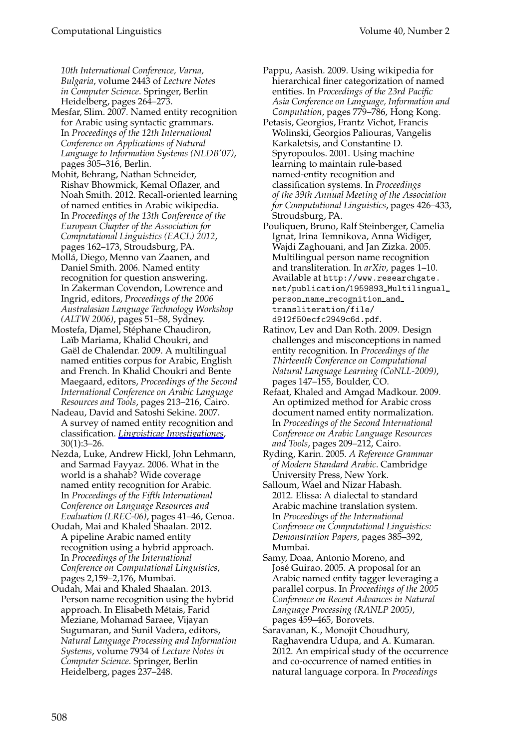*10th International Conference, Varna, Bulgaria*, volume 2443 of *Lecture Notes in Computer Science*. Springer, Berlin Heidelberg, pages 264–273.

- Mesfar, Slim. 2007. Named entity recognition for Arabic using syntactic grammars. In *Proceedings of the 12th International Conference on Applications of Natural Language to Information Systems (NLDB'07)*, pages 305–316, Berlin.
- Mohit, Behrang, Nathan Schneider, Rishav Bhowmick, Kemal Oflazer, and Noah Smith. 2012. Recall-oriented learning of named entities in Arabic wikipedia. In *Proceedings of the 13th Conference of the European Chapter of the Association for Computational Linguistics (EACL) 2012*, pages 162–173, Stroudsburg, PA.
- Mollá, Diego, Menno van Zaanen, and Daniel Smith. 2006. Named entity recognition for question answering. In Zakerman Covendon, Lowrence and Ingrid, editors, *Proceedings of the 2006 Australasian Language Technology Workshop (ALTW 2006)*, pages 51–58, Sydney.
- Mostefa, Djamel, Stéphane Chaudiron, Laïb Mariama, Khalid Choukri, and Gaël de Chalendar. 2009. A multilingual named entities corpus for Arabic, English and French. In Khalid Choukri and Bente Maegaard, editors, *Proceedings of the Second International Conference on Arabic Language Resources and Tools*, pages 213–216, Cairo.
- Nadeau, David and Satoshi Sekine. 2007. A survey of named entity recognition and classification. *[Lingvisticae Investigationes](http://www.mitpressjournals.org/action/showLinks?crossref=10.1075%2Fli.30.1.03nad)*, 30(1):3–26.
- Nezda, Luke, Andrew Hickl, John Lehmann, and Sarmad Fayyaz. 2006. What in the world is a shahab? Wide coverage named entity recognition for Arabic. In *Proceedings of the Fifth International Conference on Language Resources and Evaluation (LREC-06)*, pages 41–46, Genoa.
- Oudah, Mai and Khaled Shaalan. 2012. A pipeline Arabic named entity recognition using a hybrid approach. In *Proceedings of the International Conference on Computational Linguistics*, pages 2,159–2,176, Mumbai.
- Oudah, Mai and Khaled Shaalan. 2013. Person name recognition using the hybrid approach. In Elisabeth Métais, Farid Meziane, Mohamad Saraee, Vijayan Sugumaran, and Sunil Vadera, editors, *Natural Language Processing and Information Systems*, volume 7934 of *Lecture Notes in Computer Science*. Springer, Berlin Heidelberg, pages 237-248.
- Pappu, Aasish. 2009. Using wikipedia for hierarchical finer categorization of named entities. In *Proceedings of the 23rd Pacific Asia Conference on Language, Information and Computation*, pages 779–786, Hong Kong.
- Petasis, Georgios, Frantz Vichot, Francis Wolinski, Georgios Paliouras, Vangelis Karkaletsis, and Constantine D. Spyropoulos. 2001. Using machine learning to maintain rule-based named-entity recognition and classification systems. In *Proceedings of the 39th Annual Meeting of the Association for Computational Linguistics*, pages 426–433, Stroudsburg, PA.
- Pouliquen, Bruno, Ralf Steinberger, Camelia Ignat, Irina Temnikova, Anna Widiger, Wajdi Zaghouani, and Jan Zizka. 2005. Multilingual person name recognition and transliteration. In *arXiv*, pages 1–10. Available at http://www.researchgate. net/publication/1959893 Multilingual person name recognition and transliteration/file/ d912f50ecfc2949c6d.pdf.
- Ratinov, Lev and Dan Roth. 2009. Design challenges and misconceptions in named entity recognition. In *Proceedings of the Thirteenth Conference on Computational Natural Language Learning (CoNLL-2009)*, pages 147–155, Boulder, CO.
- Refaat, Khaled and Amgad Madkour. 2009. An optimized method for Arabic cross document named entity normalization. In *Proceedings of the Second International Conference on Arabic Language Resources and Tools*, pages 209–212, Cairo.
- Ryding, Karin. 2005. *A Reference Grammar of Modern Standard Arabic*. Cambridge University Press, New York.
- Salloum, Wael and Nizar Habash. 2012. Elissa: A dialectal to standard Arabic machine translation system. In *Proceedings of the International Conference on Computational Linguistics: Demonstration Papers*, pages 385–392, Mumbai.
- Samy, Doaa, Antonio Moreno, and José Guirao. 2005. A proposal for an Arabic named entity tagger leveraging a parallel corpus. In *Proceedings of the 2005 Conference on Recent Advances in Natural Language Processing (RANLP 2005)*, pages 459–465, Borovets.
- Saravanan, K., Monojit Choudhury, Raghavendra Udupa, and A. Kumaran. 2012. An empirical study of the occurrence and co-occurrence of named entities in natural language corpora. In *Proceedings*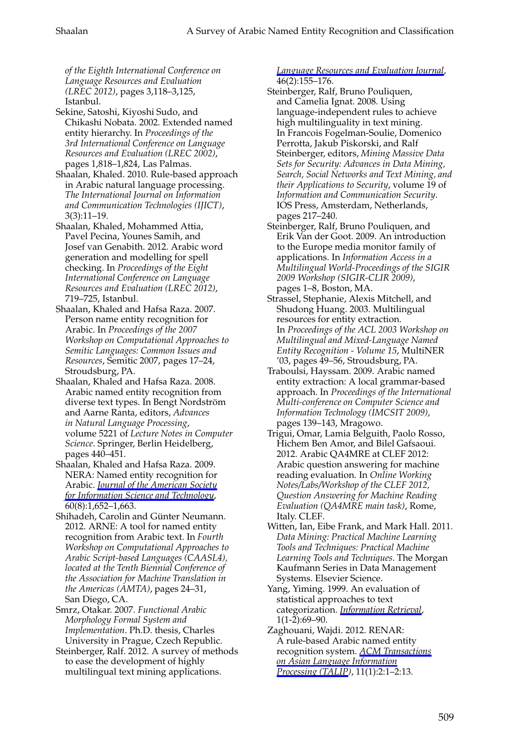*of the Eighth International Conference on Language Resources and Evaluation (LREC 2012)*, pages 3,118–3,125, Istanbul.

Sekine, Satoshi, Kiyoshi Sudo, and Chikashi Nobata. 2002. Extended named entity hierarchy. In *Proceedings of the 3rd International Conference on Language Resources and Evaluation (LREC 2002)*, pages 1,818–1,824, Las Palmas.

Shaalan, Khaled. 2010. Rule-based approach in Arabic natural language processing. *The International Journal on Information and Communication Technologies (IJICT)*, 3(3):11–19.

Shaalan, Khaled, Mohammed Attia, Pavel Pecina, Younes Samih, and Josef van Genabith. 2012. Arabic word generation and modelling for spell checking. In *Proceedings of the Eight International Conference on Language Resources and Evaluation (LREC 2012)*, 719–725, Istanbul.

Shaalan, Khaled and Hafsa Raza. 2007. Person name entity recognition for Arabic. In *Proceedings of the 2007 Workshop on Computational Approaches to Semitic Languages: Common Issues and Resources*, Semitic 2007, pages 17–24, Stroudsburg, PA.

Shaalan, Khaled and Hafsa Raza. 2008. Arabic named entity recognition from diverse text types. In Bengt Nordström and Aarne Ranta, editors, *Advances in Natural Language Processing*, volume 5221 of *Lecture Notes in Computer Science*. Springer, Berlin Heidelberg, pages 440–451.

Shaalan, Khaled and Hafsa Raza. 2009. NERA: Named entity recognition for Arabic. *[Journal of the American Society](http://www.mitpressjournals.org/action/showLinks?crossref=10.1002%2Fasi.21090) [for Information Science and Technology](http://www.mitpressjournals.org/action/showLinks?crossref=10.1002%2Fasi.21090)*, 60(8):1,652–1,663.

Shihadeh, Carolin and Günter Neumann. 2012. ARNE: A tool for named entity recognition from Arabic text. In *Fourth Workshop on Computational Approaches to Arabic Script-based Languages (CAASL4), located at the Tenth Biennial Conference of the Association for Machine Translation in the Americas (AMTA)*, pages 24–31, San Diego, CA.

Smrz, Otakar. 2007. *Functional Arabic Morphology Formal System and Implementation*. Ph.D. thesis, Charles University in Prague, Czech Republic.

Steinberger, Ralf. 2012. A survey of methods to ease the development of highly multilingual text mining applications.

*[Language Resources and Evaluation Journal](http://www.mitpressjournals.org/action/showLinks?crossref=10.1007%2Fs10579-011-9165-9)*, 46(2):155–176.

Steinberger, Ralf, Bruno Pouliquen, and Camelia Ignat. 2008. Using language-independent rules to achieve high multilinguality in text mining. In Francois Fogelman-Soulie, Domenico Perrotta, Jakub Piskorski, and Ralf Steinberger, editors, *Mining Massive Data Sets for Security: Advances in Data Mining, Search, Social Networks and Text Mining, and their Applications to Security*, volume 19 of *Information and Communication Security*. IOS Press, Amsterdam, Netherlands, pages 217–240.

Steinberger, Ralf, Bruno Pouliquen, and Erik Van der Goot. 2009. An introduction to the Europe media monitor family of applications. In *Information Access in a Multilingual World-Proceedings of the SIGIR 2009 Workshop (SIGIR-CLIR 2009)*, pages 1–8, Boston, MA.

Strassel, Stephanie, Alexis Mitchell, and Shudong Huang. 2003. Multilingual resources for entity extraction. In *Proceedings of the ACL 2003 Workshop on Multilingual and Mixed-Language Named Entity Recognition - Volume 15*, MultiNER '03, pages 49–56, Stroudsburg, PA.

Traboulsi, Hayssam. 2009. Arabic named entity extraction: A local grammar-based approach. In *Proceedings of the International Multi-conference on Computer Science and Information Technology (IMCSIT 2009)*, pages 139–143, Mragowo.

Trigui, Omar, Lamia Belguith, Paolo Rosso, Hichem Ben Amor, and Bilel Gafsaoui. 2012. Arabic QA4MRE at CLEF 2012: Arabic question answering for machine reading evaluation. In *Online Working Notes/Labs/Workshop of the CLEF 2012, Question Answering for Machine Reading Evaluation (QA4MRE main task)*, Rome, Italy. CLEF.

Witten, Ian, Eibe Frank, and Mark Hall. 2011. *Data Mining: Practical Machine Learning Tools and Techniques: Practical Machine Learning Tools and Techniques*. The Morgan Kaufmann Series in Data Management Systems. Elsevier Science.

Yang, Yiming. 1999. An evaluation of statistical approaches to text categorization. *[Information Retrieval](http://www.mitpressjournals.org/action/showLinks?crossref=10.1023%2FA%3A1009982220290)*, 1(1-2):69–90.

Zaghouani, Wajdi. 2012. RENAR: A rule-based Arabic named entity recognition system. *[ACM Transactions](http://www.mitpressjournals.org/action/showLinks?crossref=10.1145%2F2090176.2090178) [on Asian Language Information](http://www.mitpressjournals.org/action/showLinks?crossref=10.1145%2F2090176.2090178) [Processing \(TALIP\)](http://www.mitpressjournals.org/action/showLinks?crossref=10.1145%2F2090176.2090178)*, 11(1):2:1–2:13.